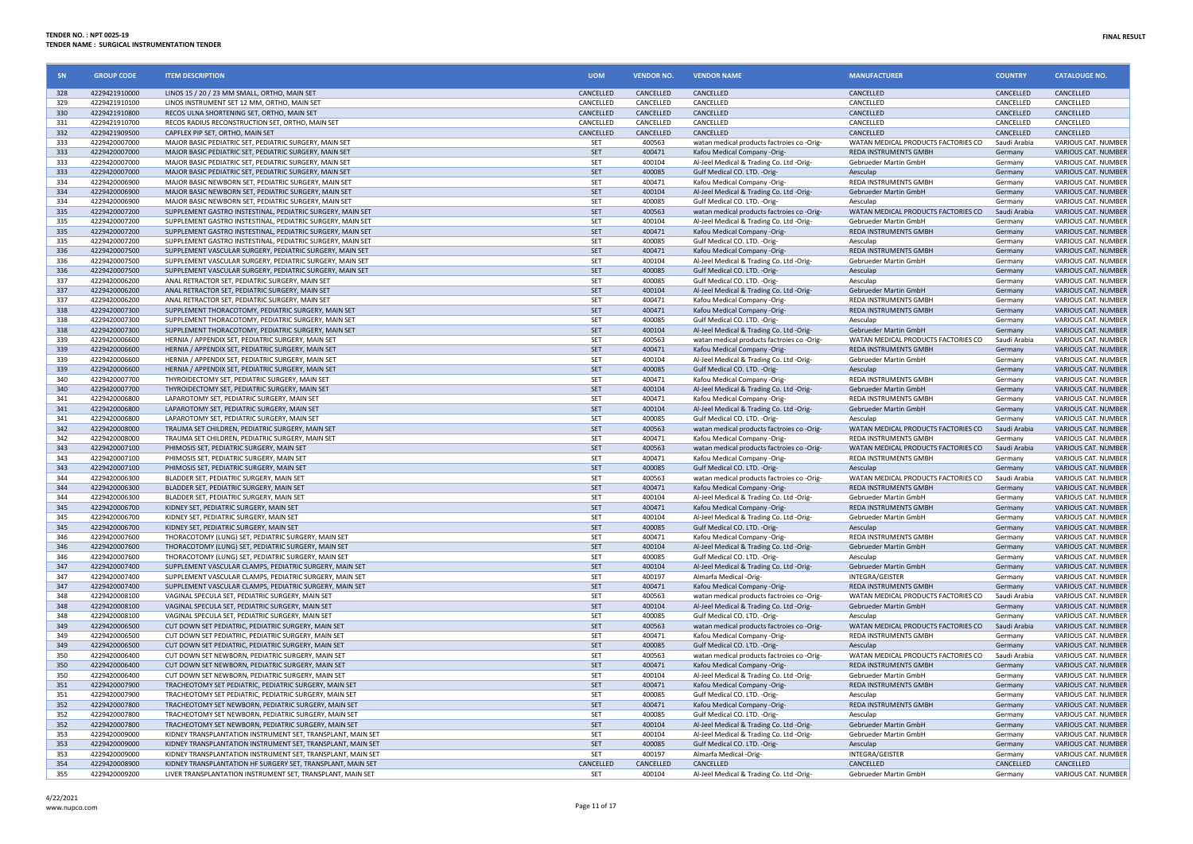| SN         | <b>GROUP CODE</b>              | <b>ITEM DESCRIPTION</b>                                                                                    | <b>UOM</b>              | <b>VENDOR NO.</b>   | <b>VENDOR NAME</b>                                                         | <b>MANUFACTURER</b>                                                 | <b>COUNTRY</b>                   | <b>CATALOUGE NO.</b>                       |
|------------|--------------------------------|------------------------------------------------------------------------------------------------------------|-------------------------|---------------------|----------------------------------------------------------------------------|---------------------------------------------------------------------|----------------------------------|--------------------------------------------|
| 328        | 4229421910000                  | LINOS 15 / 20 / 23 MM SMALL, ORTHO, MAIN SET                                                               | CANCELLED               | CANCELLED           | CANCELLED                                                                  | CANCELLED                                                           | CANCELLED                        | CANCELLED                                  |
| 329        | 4229421910100                  | LINOS INSTRUMENT SET 12 MM, ORTHO, MAIN SET                                                                | CANCELLED               | <b>CANCELLED</b>    | CANCELLED                                                                  | CANCELLED                                                           | CANCELLED                        | CANCELLED                                  |
| 330        | 4229421910800                  | RECOS ULNA SHORTENING SET, ORTHO, MAIN SET                                                                 | CANCELLED               | CANCELLED           | CANCELLED                                                                  | CANCELLED                                                           | CANCELLED                        | CANCELLED                                  |
| 331        | 4229421910700                  | RECOS RADIUS RECONSTRUCTION SET, ORTHO, MAIN SET                                                           | CANCELLED               | CANCELLED           | CANCELLED                                                                  | CANCELLED                                                           | CANCELLED                        | CANCELLED                                  |
| 332<br>333 | 4229421909500<br>4229420007000 | CAPFLEX PIP SET, ORTHO, MAIN SET<br>MAJOR BASIC PEDIATRIC SET, PEDIATRIC SURGERY, MAIN SET                 | <b>CANCELLED</b><br>SET | CANCELLED<br>400563 | CANCELLED<br>watan medical products factroies co-Orig-                     | <b>CANCELLED</b><br>WATAN MEDICAL PRODUCTS FACTORIES CO             | <b>CANCELLED</b><br>Saudi Arabia | <b>CANCELLED</b><br>VARIOUS CAT. NUMBER    |
| 333        | 4229420007000                  | MAJOR BASIC PEDIATRIC SET. PEDIATRIC SURGERY, MAIN SET                                                     | <b>SET</b>              | 400471              | Kafou Medical Company -Orig-                                               | <b>REDA INSTRUMENTS GMBH</b>                                        | Germany                          | <b>VARIOUS CAT, NUMBER</b>                 |
| 333        | 4229420007000                  | MAJOR BASIC PEDIATRIC SET. PEDIATRIC SURGERY, MAIN SET                                                     | SET                     | 400104              | Al-Jeel Medical & Trading Co. Ltd -Orig-                                   | Gebrueder Martin GmbH                                               | Germany                          | VARIOUS CAT. NUMBER                        |
| 333        | 4229420007000                  | MAJOR BASIC PEDIATRIC SET, PEDIATRIC SURGERY, MAIN SET                                                     | SET                     | 400085              | Gulf Medical CO. LTD. - Orig-                                              | Aesculan                                                            | <b>Germany</b>                   | VARIOUS CAT. NUMBER                        |
| 334        | 4229420006900                  | MAJOR BASIC NEWBORN SET, PEDIATRIC SURGERY, MAIN SET                                                       | SET                     | 400471              | Kafou Medical Company -Orig-                                               | REDA INSTRUMENTS GMBH                                               | Germany                          | VARIOUS CAT. NUMBER                        |
| 334        | 4229420006900                  | MAJOR BASIC NEWBORN SET, PEDIATRIC SURGERY, MAIN SET                                                       | SET                     | 400104              | Al-Jeel Medical & Trading Co. Ltd -Orig-                                   | Gebrueder Martin GmbH                                               | Germany                          | VARIOUS CAT. NUMBER                        |
| 334        | 4229420006900                  | MAJOR BASIC NEWBORN SET, PEDIATRIC SURGERY, MAIN SET                                                       | SET                     | 400085              | Gulf Medical CO. LTD. - Orig-                                              | Aesculap                                                            | Germany                          | VARIOUS CAT. NUMBER                        |
| 335        | 4229420007200                  | SUPPLEMENT GASTRO INSTESTINAL, PEDIATRIC SURGERY, MAIN SET                                                 | SET                     | 400563              | watan medical products factroies co -Orig-                                 | WATAN MEDICAL PRODUCTS FACTORIES CO                                 | Saudi Arabia                     | <b>VARIOUS CAT, NUMBER</b>                 |
| 335        | 4229420007200                  | SUPPLEMENT GASTRO INSTESTINAL, PEDIATRIC SURGERY, MAIN SET                                                 | SET                     | 400104              | Al-Jeel Medical & Trading Co. Ltd -Orig-                                   | Gebrueder Martin GmbH                                               | Germany                          | VARIOUS CAT. NUMBER                        |
| 335        | 4229420007200                  | SUPPLEMENT GASTRO INSTESTINAL, PEDIATRIC SURGERY, MAIN SET                                                 | SET                     | 400471              | Kafou Medical Company -Orig-                                               | REDA INSTRUMENTS GMBH                                               | Germany                          | VARIOUS CAT. NUMBER                        |
| 335        | 4229420007200                  | SUPPLEMENT GASTRO INSTESTINAL, PEDIATRIC SURGERY, MAIN SET                                                 | <b>SET</b>              | 400085              | Gulf Medical CO. LTD. - Orig-                                              | Aesculan                                                            | Germany                          | VARIOUS CAT. NUMBER                        |
| 336        | 4229420007500                  | SUPPLEMENT VASCULAR SURGERY, PEDIATRIC SURGERY, MAIN SET                                                   | SET                     | 400471              | Kafou Medical Company -Orig-                                               | <b>REDA INSTRUMENTS GMBH</b>                                        | Germany                          | VARIOUS CAT. NUMBER                        |
| 336        | 4229420007500                  | SUPPLEMENT VASCULAR SURGERY, PEDIATRIC SURGERY, MAIN SET                                                   | SET                     | 400104              | Al-Jeel Medical & Trading Co. Ltd -Orig-                                   | Gebrueder Martin GmbH                                               | Germany                          | VARIOUS CAT. NUMBER                        |
| 336        | 4229420007500                  | SUPPLEMENT VASCULAR SURGERY, PEDIATRIC SURGERY, MAIN SET                                                   | SET                     | 400085              | Gulf Medical CO. LTD. - Orig-                                              | Aesculap                                                            | Germany                          | VARIOUS CAT. NUMBER                        |
| 337        | 4229420006200                  | ANAL RETRACTOR SET, PEDIATRIC SURGERY, MAIN SET                                                            | SET                     | 400085              | Gulf Medical CO. LTD. - Orig-                                              | Aesculap                                                            | Germany                          | VARIOUS CAT. NUMBER                        |
| 337        | 4229420006200                  | ANAL RETRACTOR SET, PEDIATRIC SURGERY, MAIN SET                                                            | <b>SET</b>              | 400104              | Al-Jeel Medical & Trading Co. Ltd -Orig-                                   | Gebrueder Martin GmbH                                               | Germany                          | VARIOUS CAT. NUMBER                        |
| 337        | 4229420006200                  | ANAL RETRACTOR SET, PEDIATRIC SURGERY, MAIN SET                                                            | SFT                     | 400471              | Kafou Medical Company -Orig-                                               | <b>REDA INSTRUMENTS GMBH</b>                                        | Germany                          | VARIOUS CAT. NUMBER                        |
| 338        | 4229420007300                  | SUPPLEMENT THORACOTOMY, PEDIATRIC SURGERY, MAIN SET                                                        | SET                     | 400471              | Kafou Medical Company -Orig-                                               | REDA INSTRUMENTS GMBH<br>Aesculan                                   | Germany<br>Germany               | VARIOUS CAT. NUMBER                        |
| 338<br>338 | 4229420007300<br>4229420007300 | SUPPLEMENT THORACOTOMY, PEDIATRIC SURGERY, MAIN SET<br>SUPPLEMENT THORACOTOMY, PEDIATRIC SURGERY, MAIN SET | SET<br>SET              | 400085<br>400104    | Gulf Medical CO. LTD. - Orig-                                              | Gebrueder Martin GmbH                                               |                                  | VARIOUS CAT. NUMBER<br>VARIOUS CAT. NUMBER |
|            |                                |                                                                                                            |                         |                     | Al-Jeel Medical & Trading Co. Ltd -Orig-                                   |                                                                     | Germany                          |                                            |
| 339<br>339 | 4229420006600                  | HERNIA / APPENDIX SET. PEDIATRIC SURGERY, MAIN SET                                                         | SET<br>SET              | 400563<br>400471    | watan medical products factroies co -Orig-                                 | WATAN MEDICAL PRODUCTS FACTORIES CO<br><b>REDA INSTRUMENTS GMBH</b> | Saudi Arabia                     | VARIOUS CAT. NUMBER                        |
| 339        | 4229420006600<br>4229420006600 | HERNIA / APPENDIX SET, PEDIATRIC SURGERY, MAIN SET<br>HERNIA / APPENDIX SET, PEDIATRIC SURGERY, MAIN SET   | SET                     | 400104              | Kafou Medical Company -Orig-                                               | Gebrueder Martin GmbH                                               | Germany<br>Germany               | VARIOUS CAT. NUMBER<br>VARIOUS CAT. NUMBER |
| 339        | 4229420006600                  | HERNIA / APPENDIX SET, PEDIATRIC SURGERY, MAIN SET                                                         | SET                     | 400085              | Al-Jeel Medical & Trading Co. Ltd -Orig-<br>Gulf Medical CO. LTD. - Orig-  | Aesculap                                                            | Germany                          | VARIOUS CAT. NUMBER                        |
| 340        | 4229420007700                  | THYROIDECTOMY SET, PEDIATRIC SURGERY, MAIN SET                                                             | SET                     | 400471              | Kafou Medical Company -Orig-                                               | REDA INSTRUMENTS GMBH                                               | Germany                          | VARIOUS CAT. NUMBER                        |
| 340        | 4229420007700                  | THYROIDECTOMY SET, PEDIATRIC SURGERY, MAIN SET                                                             | SET                     | 400104              | Al-Jeel Medical & Trading Co. Ltd -Orig-                                   | Gebrueder Martin GmbH                                               | Germany                          | VARIOUS CAT. NUMBER                        |
| 341        | 4229420006800                  | LAPAROTOMY SET. PEDIATRIC SURGERY, MAIN SET                                                                | <b>SET</b>              | 400471              | Kafou Medical Company -Orig-                                               | <b>REDA INSTRUMENTS GMBH</b>                                        | Germany                          | VARIOUS CAT. NUMBER                        |
| 341        | 4229420006800                  | LAPAROTOMY SET, PEDIATRIC SURGERY, MAIN SET                                                                | SET                     | 400104              | Al-Jeel Medical & Trading Co. Ltd -Orig-                                   | Gebrueder Martin GmbH                                               | Germany                          | VARIOUS CAT. NUMBER                        |
| 341        | 4229420006800                  | LAPAROTOMY SET, PEDIATRIC SURGERY, MAIN SET                                                                | SET                     | 400085              | Gulf Medical CO. LTD. - Orig-                                              | Aesculap                                                            | Germany                          | VARIOUS CAT. NUMBER                        |
| 342        | 4229420008000                  | TRAUMA SET CHILDREN, PEDIATRIC SURGERY, MAIN SET                                                           | SET                     | 400563              | watan medical products factroies co -Orig-                                 | WATAN MEDICAL PRODUCTS FACTORIES CO                                 | Saudi Arabia                     | VARIOUS CAT. NUMBER                        |
| 342        | 4229420008000                  | TRAUMA SET CHILDREN, PEDIATRIC SURGERY, MAIN SET                                                           | SET                     | 400471              | Kafou Medical Company -Orig-                                               | REDA INSTRUMENTS GMBH                                               | Germany                          | VARIOUS CAT. NUMBER                        |
| 343        | 4229420007100                  | PHIMOSIS SET, PEDIATRIC SURGERY, MAIN SET                                                                  | SET                     | 400563              | watan medical products factroies co -Orig-                                 | WATAN MEDICAL PRODUCTS FACTORIES CO                                 | Saudi Arabia                     | VARIOUS CAT. NUMBER                        |
| 343        | 4229420007100                  | PHIMOSIS SET, PEDIATRIC SURGERY, MAIN SET                                                                  | SET                     | 400471              | Kafou Medical Company -Orig-                                               | REDA INSTRUMENTS GMBH                                               | Germany                          | VARIOUS CAT. NUMBER                        |
| 343        | 4229420007100                  | PHIMOSIS SET, PEDIATRIC SURGERY, MAIN SET                                                                  | SET                     | 400085              | Gulf Medical CO. LTD. - Orig-                                              | Aesculap                                                            | Germany                          | <b>VARIOUS CAT. NUMBER</b>                 |
| 344        | 4229420006300                  | BLADDER SET, PEDIATRIC SURGERY, MAIN SET                                                                   | SET                     | 400563              | watan medical products factroies co -Orig-                                 | WATAN MEDICAL PRODUCTS FACTORIES CO                                 | Saudi Arabia                     | VARIOUS CAT. NUMBER                        |
| 344        | 4229420006300                  | BLADDER SET, PEDIATRIC SURGERY, MAIN SET                                                                   | SET                     | 400471              | Kafou Medical Company -Orig-                                               | REDA INSTRUMENTS GMBH                                               | Germany                          | VARIOUS CAT. NUMBER                        |
| 344        | 4229420006300                  | BLADDER SET, PEDIATRIC SURGERY, MAIN SET                                                                   | SET                     | 400104              | Al-Jeel Medical & Trading Co. Ltd -Orig-                                   | Gebrueder Martin GmbH                                               | Germany                          | <b>VARIOUS CAT, NUMBER</b>                 |
| 345        | 4229420006700                  | KIDNEY SET. PEDIATRIC SURGERY, MAIN SET                                                                    | SET                     | 400471              | Kafou Medical Company -Orig-                                               | <b>REDA INSTRUMENTS GMBH</b>                                        | Germany                          | <b>VARIOUS CAT, NUMBER</b>                 |
| 345        | 4229420006700                  | KIDNEY SET, PEDIATRIC SURGERY, MAIN SET                                                                    | SET                     | 400104              | Al-Jeel Medical & Trading Co. Ltd -Orig-                                   | Gebrueder Martin GmbH                                               | Germany                          | VARIOUS CAT. NUMBER                        |
| 345        | 4229420006700                  | KIDNEY SET, PEDIATRIC SURGERY, MAIN SET                                                                    | SET                     | 400085              | Gulf Medical CO. LTD. - Orig-                                              | Aesculap                                                            | Germany                          | VARIOUS CAT. NUMBER                        |
| 346        | 4229420007600                  | THORACOTOMY (LUNG) SET, PEDIATRIC SURGERY, MAIN SET                                                        | SET                     | 400471              | Kafou Medical Company -Orig-                                               | REDA INSTRUMENTS GMBH                                               | Germany                          | VARIOUS CAT. NUMBER                        |
| 346        | 4229420007600                  | THORACOTOMY (LUNG) SET, PEDIATRIC SURGERY, MAIN SET                                                        | SET                     | 400104              | Al-Jeel Medical & Trading Co. Ltd -Orig-                                   | Gebrueder Martin GmbH                                               | Germany                          | VARIOUS CAT. NUMBER                        |
| 346        | 4229420007600                  | THORACOTOMY (LUNG) SET, PEDIATRIC SURGERY, MAIN SET                                                        | <b>SET</b>              | 400085              | Gulf Medical CO. LTD. - Orig-                                              | Aesculan                                                            | Germany                          | VARIOUS CAT. NUMBER                        |
| 347        | 4229420007400                  | SUPPLEMENT VASCULAR CLAMPS, PEDIATRIC SURGERY, MAIN SET                                                    | SET                     | 400104              | Al-Jeel Medical & Trading Co. Ltd -Orig-                                   | Gebrueder Martin GmbH                                               | Germany                          | <b>VARIOUS CAT. NUMBER</b>                 |
| 347        | 4229420007400                  | SUPPLEMENT VASCULAR CLAMPS, PEDIATRIC SURGERY, MAIN SET                                                    | SET                     | 400197              | Almarfa Medical -Orig                                                      | INTEGRA/GEISTER                                                     | Germany                          | VARIOUS CAT. NUMBER                        |
| 347        | 4229420007400                  | SUPPLEMENT VASCULAR CLAMPS, PEDIATRIC SURGERY, MAIN SET                                                    | SET                     | 400471              | Kafou Medical Company -Orig-                                               | REDA INSTRUMENTS GMBH                                               | Germany                          | VARIOUS CAT. NUMBER                        |
| 348        | 4229420008100                  | VAGINAL SPECULA SET, PEDIATRIC SURGERY, MAIN SET                                                           | SET                     | 400563              | watan medical products factroies co -Orig-                                 | WATAN MEDICAL PRODUCTS FACTORIES CO                                 | Saudi Arabia                     | VARIOUS CAT. NUMBER                        |
| 348        | 4229420008100                  | VAGINAL SPECULA SET, PEDIATRIC SURGERY, MAIN SET                                                           | SET                     | 400104              | Al-Jeel Medical & Trading Co. Ltd -Orig-                                   | Gebrueder Martin GmbH                                               | Germany                          | VARIOUS CAT. NUMBER                        |
| 348        | 4229420008100                  | VAGINAL SPECULA SET. PEDIATRIC SURGERY, MAIN SET                                                           | SET<br><b>SFT</b>       | 400085              | Gulf Medical CO. LTD. - Orig-                                              | Aesculap                                                            | Germany                          | <b>VARIOUS CAT, NUMBER</b>                 |
| 349<br>349 | 4229420006500<br>4229420006500 | CUT DOWN SET PEDIATRIC, PEDIATRIC SURGERY, MAIN SET<br>CUT DOWN SET PEDIATRIC, PEDIATRIC SURGERY, MAIN SET | SET                     | 400563<br>400471    | watan medical products factroies co -Orig-<br>Kafou Medical Company -Orig- | WATAN MEDICAL PRODUCTS FACTORIES CO<br>REDA INSTRUMENTS GMBH        | Saudi Arabia<br>Germany          | VARIOUS CAT. NUMBER<br>VARIOUS CAT. NUMBER |
| 349        | 4229420006500                  | CUT DOWN SET PEDIATRIC, PEDIATRIC SURGERY, MAIN SET                                                        | <b>SET</b>              | 400085              | Gulf Medical CO. LTD. - Orig-                                              | Aesculan                                                            | Germany                          | <b>VARIOUS CAT, NUMBER</b>                 |
| 350        | 4229420006400                  | CUT DOWN SET NEWBORN, PEDIATRIC SURGERY, MAIN SET                                                          | SET                     | 400563              |                                                                            | WATAN MEDICAL PRODUCTS FACTORIES CO                                 |                                  | VARIOUS CAT. NUMBER                        |
| 350        | 4229420006400                  | CUT DOWN SET NEWBORN, PEDIATRIC SURGERY, MAIN SET                                                          | SET                     | 400471              | watan medical products factroies co -Orig-<br>Kafou Medical Company -Orig- | <b>REDA INSTRUMENTS GMBH</b>                                        | Saudi Arabia<br>Germany          | <b>VARIOUS CAT, NUMBER</b>                 |
| 350        | 4229420006400                  | CUT DOWN SET NEWBORN, PEDIATRIC SURGERY, MAIN SET                                                          | SET                     | 400104              | Al-Jeel Medical & Trading Co. Ltd -Orig-                                   | Gebrueder Martin GmbH                                               | Germany                          | VARIOUS CAT. NUMBER                        |
| 351        | 4229420007900                  | TRACHEOTOMY SET PEDIATRIC, PEDIATRIC SURGERY, MAIN SET                                                     | SET                     | 400471              | Kafou Medical Company -Orig-                                               | <b>REDA INSTRUMENTS GMBH</b>                                        | Germany                          | VARIOUS CAT. NUMBER                        |
| 351        | 4229420007900                  | TRACHEOTOMY SET PEDIATRIC, PEDIATRIC SURGERY, MAIN SET                                                     | SFT                     | 400085              | Gulf Medical CO. LTD. - Orig-                                              | Aesculan                                                            | Germany                          | VARIOUS CAT. NUMBER                        |
| 352        | 4229420007800                  | TRACHEOTOMY SET NEWBORN, PEDIATRIC SURGERY, MAIN SET                                                       | SET                     | 400471              | Kafou Medical Company -Orig-                                               | REDA INSTRUMENTS GMBH                                               | Germany                          | VARIOUS CAT. NUMBER                        |
| 352        | 4229420007800                  | TRACHEOTOMY SET NEWBORN, PEDIATRIC SURGERY, MAIN SET                                                       | SET                     | 400085              | Gulf Medical CO. LTD. - Orig-                                              | Aesculan                                                            | Germany                          | VARIOUS CAT. NUMBER                        |
| 352        | 4229420007800                  | TRACHEOTOMY SET NEWBORN, PEDIATRIC SURGERY, MAIN SET                                                       | SET                     | 400104              | Al-Jeel Medical & Trading Co. Ltd -Orig-                                   | <b>Gebrueder Martin GmbH</b>                                        | Germany                          | VARIOUS CAT. NUMBER                        |
| 353        | 4229420009000                  | KIDNEY TRANSPLANTATION INSTRUMENT SET, TRANSPLANT, MAIN SET                                                | SFT                     | 400104              | Al-Jeel Medical & Trading Co. Ltd -Orig-                                   | Gebrueder Martin GmbH                                               | Germany                          | <b>VARIOUS CAT, NUMBER</b>                 |
| 353        | 4229420009000                  | KIDNEY TRANSPLANTATION INSTRUMENT SET, TRANSPLANT, MAIN SET                                                | SET                     | 400085              | Gulf Medical CO. LTD. - Orig-                                              | Aesculap                                                            | Germany                          | <b>VARIOUS CAT, NUMBER</b>                 |
| 353        | 4229420009000                  | KIDNEY TRANSPLANTATION INSTRUMENT SET, TRANSPLANT, MAIN SET                                                | SET                     | 400197              | Almarfa Medical -Orig-                                                     | INTEGRA/GEISTER                                                     | Germany                          | VARIOUS CAT. NUMBER                        |
| 354        | 4229420008900                  | KIDNEY TRANSPLANTATION HF SURGERY SET, TRANSPLANT, MAIN SET                                                | CANCELLED               | CANCELLED           | CANCELLED                                                                  | CANCELLED                                                           | CANCELLED                        | CANCELLED                                  |
| 355        | 4229420009200                  | LIVER TRANSPLANTATION INSTRUMENT SET, TRANSPLANT, MAIN SET                                                 | SFT                     | 400104              | Al-Jeel Medical & Trading Co. Ltd -Orig-                                   | Gebrueder Martin GmbH                                               | Germany                          | VARIOUS CAT. NUMBER                        |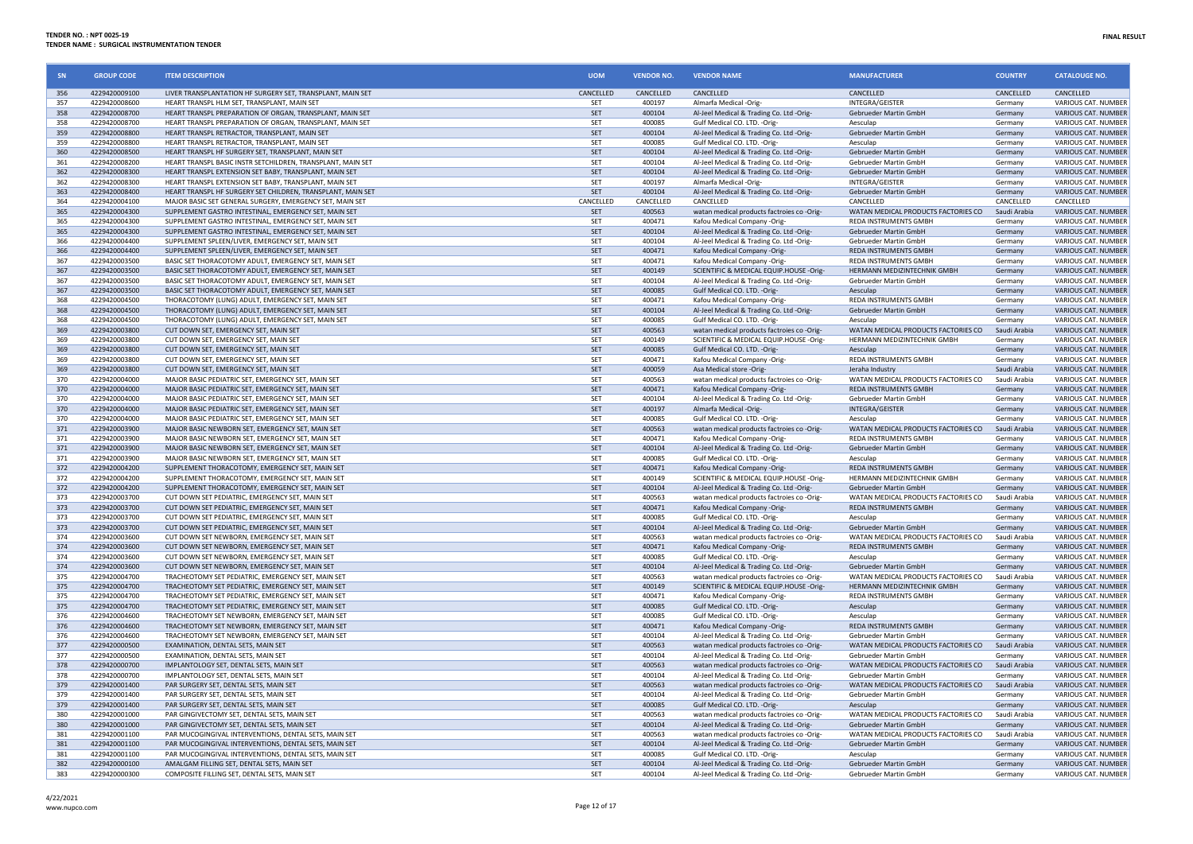| SN         | <b>GROUP CODE</b>              | <b>ITEM DESCRIPTION</b>                                                                             | <b>UOM</b> | <b>VENDOR NO.</b> | <b>VENDOR NAME</b>                                                                     | <b>MANUFACTURER</b>                             | <b>COUNTRY</b>          | <b>CATALOUGE NO.</b>                              |
|------------|--------------------------------|-----------------------------------------------------------------------------------------------------|------------|-------------------|----------------------------------------------------------------------------------------|-------------------------------------------------|-------------------------|---------------------------------------------------|
| 356        | 4229420009100                  | LIVER TRANSPLANTATION HF SURGERY SET, TRANSPLANT, MAIN SET                                          | CANCELLED  | CANCELLED         | CANCELLED                                                                              | CANCELLED                                       | CANCELLED               | CANCELLED                                         |
| 357        | 4229420008600                  | HEART TRANSPL HLM SFT. TRANSPLANT, MAIN SFT                                                         | <b>SET</b> | 400197            | Almarfa Medical -Orig                                                                  | INTEGRA/GEISTER                                 | Germany                 | VARIOUS CAT. NUMBER                               |
| 358        | 4229420008700                  | HEART TRANSPL PREPARATION OF ORGAN, TRANSPLANT, MAIN SET                                            | <b>SET</b> | 400104            | Al-Jeel Medical & Trading Co. Ltd -Orig-                                               | Gebrueder Martin GmbH                           | Germany                 | <b>VARIOUS CAT. NUMBER</b>                        |
| 358        | 4229420008700                  | HEART TRANSPL PREPARATION OF ORGAN, TRANSPLANT, MAIN SET                                            | SET        | 400085            | Gulf Medical CO. LTD. - Orig-                                                          | Aesculap                                        | Germany                 | VARIOUS CAT. NUMBER                               |
| 359        | 4229420008800                  | HEART TRANSPL RETRACTOR, TRANSPLANT, MAIN SET                                                       | <b>SET</b> | 400104            | Al-Jeel Medical & Trading Co. Ltd -Orig-                                               | Gebrueder Martin GmbH                           | Germany                 | <b>VARIOUS CAT. NUMBER</b>                        |
| 359        | 4229420008800                  | HEART TRANSPL RETRACTOR, TRANSPLANT, MAIN SET                                                       | SET        | 400085            | Gulf Medical CO. LTD. - Orig-                                                          | Aesculap                                        | Germany                 | VARIOUS CAT. NUMBEI                               |
| 360        | 4229420008500                  | HEART TRANSPL HF SURGERY SET, TRANSPLANT, MAIN SET                                                  | SET        | 400104            | Al-Jeel Medical & Trading Co. Ltd -Orig                                                | <b>Gebrueder Martin GmbH</b>                    | Germany                 | VARIOUS CAT. NUMBER                               |
| 361        | 4229420008200                  | HEART TRANSPL BASIC INSTR SETCHILDREN, TRANSPLANT, MAIN SET                                         | SET        | 400104            | Al-Jeel Medical & Trading Co. Ltd -Orig-                                               | <b>Gebrueder Martin GmbH</b>                    | Germany                 | VARIOUS CAT. NUMBER                               |
| 362        | 4229420008300                  | HEART TRANSPL EXTENSION SET BABY, TRANSPLANT, MAIN SET                                              | SET        | 400104            | Al-Jeel Medical & Trading Co. Ltd -Orig-                                               | Gebrueder Martin GmbH                           | Germany                 | <b>VARIOUS CAT. NUMBER</b>                        |
| 362        | 4229420008300                  | HEART TRANSPL EXTENSION SET BABY. TRANSPLANT, MAIN SET                                              | SET        | 400197            | Almarfa Medical -Orig                                                                  | INTEGRA/GEISTER                                 | Germany                 | VARIOUS CAT. NUMBER                               |
| 363        | 4229420008400                  | HEART TRANSPL HF SURGERY SET CHILDREN, TRANSPLANT, MAIN SET                                         | SET        | 400104            | Al-Jeel Medical & Trading Co. Ltd -Orig-                                               | Gebrueder Martin GmbH                           | Germany                 | <b>VARIOUS CAT, NUMBER</b>                        |
| 364        | 4229420004100                  | MAJOR BASIC SET GENERAL SURGERY, EMERGENCY SET, MAIN SET                                            | CANCELLED  | CANCELLED         | CANCELLED                                                                              | CANCELLED                                       | CANCELLED               | CANCELLED                                         |
| 365        | 4229420004300                  | SUPPLEMENT GASTRO INTESTINAL, EMERGENCY SET, MAIN SET                                               | <b>SET</b> | 400563            | watan medical products factroies co -Orig-                                             | WATAN MEDICAL PRODUCTS FACTORIES CO             | Saudi Arabia            | VARIOUS CAT. NUMBER                               |
| 365        | 4229420004300                  | SUPPLEMENT GASTRO INTESTINAL, EMERGENCY SET, MAIN SET                                               | SET        | 400471            | Kafou Medical Company -Orig-                                                           | REDA INSTRUMENTS GMBH                           | Germany                 | VARIOUS CAT. NUMBER                               |
| 365        | 4229420004300                  | SUPPLEMENT GASTRO INTESTINAL, EMERGENCY SET, MAIN SET                                               | SET        | 400104            | Al-Jeel Medical & Trading Co. Ltd -Orig-                                               | Gebrueder Martin GmbH                           | Germany                 | <b>VARIOUS CAT. NUMBER</b>                        |
| 366        | 4229420004400                  | SUPPLEMENT SPLEEN/LIVER, EMERGENCY SET, MAIN SET                                                    | SET        | 400104            | Al-Jeel Medical & Trading Co. Ltd -Orig-                                               | Gebrueder Martin GmbH                           | <b>Germany</b>          | VARIOUS CAT. NUMBEI                               |
| 366        | 4229420004400                  | SUPPLEMENT SPLEEN/LIVER, EMERGENCY SET, MAIN SET                                                    | <b>SET</b> | 400471            | Kafou Medical Company -Orig-                                                           | <b>REDA INSTRUMENTS GMBH</b>                    | Germany                 | <b>VARIOUS CAT. NUMBER</b>                        |
| 367        | 4229420003500                  | BASIC SET THORACOTOMY ADULT, EMERGENCY SET, MAIN SET                                                | SET        | 400471            | Kafou Medical Company -Orig                                                            | <b>REDA INSTRUMENTS GMBH</b>                    | Germany                 | VARIOUS CAT. NUMBER                               |
| 367        | 4229420003500                  | BASIC SET THORACOTOMY ADULT, EMERGENCY SET, MAIN SET                                                | SET        | 400149            | SCIENTIFIC & MEDICAL EQUIP.HOUSE -Orig-                                                | HERMANN MEDIZINTECHNIK GMBH                     | Germany                 | VARIOUS CAT. NUMBER                               |
| 367        | 4229420003500                  | BASIC SET THORACOTOMY ADULT, EMERGENCY SET, MAIN SET                                                | SET        | 400104            | Al-Jeel Medical & Trading Co. Ltd -Orig-                                               | Gebrueder Martin GmbH                           | Germany                 | VARIOUS CAT. NUMBER                               |
| 367        | 4229420003500                  | BASIC SET THORACOTOMY ADULT, EMERGENCY SET, MAIN SET                                                | SET        | 400085            | Gulf Medical CO. LTD. - Orig-                                                          | Aesculap                                        | Germany                 | VARIOUS CAT. NUMBER                               |
| 368        | 4229420004500                  | THORACOTOMY (LUNG) ADULT, EMERGENCY SET, MAIN SET                                                   | SET        | 400471            | Kafou Medical Company -Orig-                                                           | REDA INSTRUMENTS GMBH                           | Germany                 | VARIOUS CAT. NUMBER                               |
| 368        | 4229420004500                  | THORACOTOMY (LUNG) ADULT, EMERGENCY SET, MAIN SET                                                   | SET        | 400104            | Al-Jeel Medical & Trading Co. Ltd -Orig                                                | Gebrueder Martin GmbH                           | Germany                 | <b>VARIOUS CAT, NUMBEI</b>                        |
| 368        | 4229420004500                  | THORACOTOMY (LUNG) ADULT, EMERGENCY SET, MAIN SET                                                   | SET        | 400085            | Gulf Medical CO. LTD. - Orig-                                                          | Aesculap                                        | Germany                 | VARIOUS CAT. NUMBEI                               |
| 369        | 4229420003800                  | CUT DOWN SET, EMERGENCY SET, MAIN SET                                                               | <b>SET</b> | 400563            | watan medical products factroies co -Orig-                                             | WATAN MEDICAL PRODUCTS FACTORIES CO             | Saudi Arabia            | <b>VARIOUS CAT. NUMBER</b>                        |
| 369        | 4229420003800                  | CUT DOWN SET. EMERGENCY SET. MAIN SET                                                               | SFT        | 400149            | SCIENTIFIC & MEDICAL EQUIP.HOUSE -Orig-                                                | HERMANN MEDIZINTECHNIK GMBH                     | Germany                 | VARIOUS CAT. NUMBER                               |
| 369        | 4229420003800                  | CUT DOWN SET, EMERGENCY SET, MAIN SET                                                               | <b>SET</b> | 400085            | Gulf Medical CO. LTD. - Orig-                                                          | Aesculan                                        | Germany                 | <b>VARIOUS CAT. NUMBER</b>                        |
| 369        | 4229420003800                  | CUT DOWN SET. EMERGENCY SET. MAIN SET                                                               | SET        | 400471            | Kafou Medical Company -Orig-                                                           | REDA INSTRUMENTS GMBH                           | Germany                 | VARIOUS CAT. NUMBER                               |
| 369        | 4229420003800                  | CUT DOWN SET, EMERGENCY SET, MAIN SET                                                               | <b>SFT</b> | 400059            | Asa Medical store -Orig-                                                               | Jeraha Industry                                 | Saudi Arabia            | <b>VARIOUS CAT. NUMBEI</b>                        |
| 370        | 4229420004000                  | MAJOR BASIC PEDIATRIC SET, EMERGENCY SET, MAIN SET                                                  | SET        | 400563            | watan medical products factroies co -Orig-                                             | WATAN MEDICAL PRODUCTS FACTORIES CO             | Saudi Arabia            | VARIOUS CAT. NUMBER                               |
| 370        | 4229420004000                  | MAJOR BASIC PEDIATRIC SET, EMERGENCY SET, MAIN SET                                                  | SET        | 400471            | Kafou Medical Company -Orig-                                                           | REDA INSTRUMENTS GMBH                           | Germany                 | VARIOUS CAT. NUMBER                               |
| 370        | 4229420004000                  | MAJOR BASIC PEDIATRIC SET, EMERGENCY SET, MAIN SET                                                  | <b>SET</b> | 400104            | Al-Jeel Medical & Trading Co. Ltd -Orig-                                               | Gebrueder Martin GmbH                           | Germany                 | VARIOUS CAT. NUMBER                               |
| 370        | 4229420004000                  | MAJOR BASIC PEDIATRIC SET, EMERGENCY SET, MAIN SET                                                  | SET        | 400197            | Almarfa Medical -Orig-                                                                 | INTEGRA/GEISTER                                 | Germany                 | VARIOUS CAT. NUMBER                               |
| 370        | 4229420004000                  | MAJOR BASIC PEDIATRIC SET, EMERGENCY SET, MAIN SET                                                  | SET        | 400085            | Gulf Medical CO. LTD. - Orig-                                                          | Aesculap<br>WATAN MEDICAL PRODUCTS FACTORIES CO | Germany                 | VARIOUS CAT. NUMBER                               |
| 371        | 4229420003900                  | MAJOR BASIC NEWBORN SET, EMERGENCY SET, MAIN SET                                                    | SET        | 400563            | watan medical products factroies co -Orig-                                             |                                                 | Saudi Arabia            | <b>VARIOUS CAT. NUMBER</b>                        |
| 371        | 4229420003900                  | MAJOR BASIC NEWBORN SET, EMERGENCY SET, MAIN SET                                                    | SET        | 400471            | Kafou Medical Company -Orig-                                                           | <b>REDA INSTRUMENTS GMBH</b>                    | Germany                 | VARIOUS CAT. NUMBER                               |
| 371        | 4229420003900<br>4229420003900 | MAJOR BASIC NEWBORN SET, EMERGENCY SET, MAIN SET                                                    | <b>SET</b> | 400104<br>400085  | Al-Jeel Medical & Trading Co. Ltd -Orig-                                               | Gebrueder Martin GmbH<br>Aesculap               | Germany                 | <b>VARIOUS CAT, NUMBEI</b><br>VARIOUS CAT. NUMBEI |
| 371<br>372 | 4229420004200                  | MAJOR BASIC NEWBORN SET, EMERGENCY SET, MAIN SET<br>SUPPLEMENT THORACOTOMY, EMERGENCY SET, MAIN SET | SET<br>SET | 400471            | Gulf Medical CO. LTD. - Orig-<br>Kafou Medical Company -Orig-                          | <b>REDA INSTRUMENTS GMBH</b>                    | Germany<br>Germany      | <b>VARIOUS CAT. NUMBER</b>                        |
| 372        | 4229420004200                  | SUPPLEMENT THORACOTOMY, EMERGENCY SET, MAIN SET                                                     | SET        | 400149            | SCIENTIFIC & MEDICAL EQUIP.HOUSE -Orig-                                                | HERMANN MEDIZINTECHNIK GMBH                     | Germany                 | VARIOUS CAT. NUMBER                               |
| 372        | 4229420004200                  | SUPPLEMENT THORACOTOMY, EMERGENCY SET, MAIN SET                                                     | <b>SET</b> | 400104            | Al-Jeel Medical & Trading Co. Ltd -Orig-                                               | Gebrueder Martin GmbH                           | Germany                 | <b>VARIOUS CAT. NUMBER</b>                        |
| 373        | 4229420003700                  | CUT DOWN SET PEDIATRIC. EMERGENCY SET. MAIN SET                                                     | SET        | 400563            | watan medical products factroies co -Orig                                              | WATAN MEDICAL PRODUCTS FACTORIES CO             | Saudi Arabia            | VARIOUS CAT, NUMBER                               |
| 373        | 4229420003700                  | CUT DOWN SET PEDIATRIC. EMERGENCY SET. MAIN SET                                                     | SET        | 400471            | Kafou Medical Company -Orig-                                                           | REDA INSTRUMENTS GMBH                           | Germany                 | VARIOUS CAT. NUMBER                               |
| 373        | 4229420003700                  | CUT DOWN SET PEDIATRIC, EMERGENCY SET, MAIN SET                                                     | <b>SET</b> | 400085            |                                                                                        | Aesculap                                        |                         | VARIOUS CAT. NUMBEI                               |
| 373        | 4229420003700                  | CUT DOWN SET PEDIATRIC. EMERGENCY SET. MAIN SET                                                     | SET        | 400104            | Gulf Medical CO. LTD. - Orig-                                                          | Gebrueder Martin GmbH                           | Germany                 | VARIOUS CAT. NUMBEI                               |
| 374        | 4229420003600                  | CUT DOWN SET NEWBORN, EMERGENCY SET, MAIN SET                                                       | <b>SET</b> | 400563            | Al-Jeel Medical & Trading Co. Ltd -Orig-<br>watan medical products factroies co -Orig- | WATAN MEDICAL PRODUCTS FACTORIES CO             | Germany<br>Saudi Arabia | VARIOUS CAT. NUMBER                               |
| 374        | 4229420003600                  | CUT DOWN SET NEWBORN, EMERGENCY SET, MAIN SET                                                       | SET        | 400471            | Kafou Medical Company -Orig-                                                           | REDA INSTRUMENTS GMBH                           | Germany                 | VARIOUS CAT. NUMBER                               |
| 374        | 4229420003600                  | CUT DOWN SET NEWBORN, EMERGENCY SET, MAIN SET                                                       | <b>SET</b> | 400085            | Gulf Medical CO. LTD. -Orig-                                                           | Aesculap                                        | <b>Germany</b>          | VARIOUS CAT. NUMBEI                               |
| 374        | 4229420003600                  | CUT DOWN SET NEWBORN, EMERGENCY SET, MAIN SET                                                       | <b>SET</b> | 400104            | Al-Jeel Medical & Trading Co. Ltd -Orig-                                               | Gebrueder Martin GmbH                           | Germany                 | <b>VARIOUS CAT. NUMBER</b>                        |
| 375        | 4229420004700                  | TRACHEOTOMY SET PEDIATRIC, EMERGENCY SET, MAIN SET                                                  | SET        | 400563            | watan medical products factroies co-Orig-                                              | WATAN MEDICAL PRODUCTS FACTORIES CO             | Saudi Arabia            | VARIOUS CAT. NUMBER                               |
| 375        | 4229420004700                  | TRACHEOTOMY SET PEDIATRIC. EMERGENCY SET. MAIN SET                                                  | <b>SET</b> | 400149            | SCIENTIFIC & MEDICAL EQUIP.HOUSE -Orig-                                                | HERMANN MEDIZINTECHNIK GMBH                     | Germany                 | VARIOUS CAT. NUMBER                               |
| 375        | 4229420004700                  | TRACHEOTOMY SET PEDIATRIC, EMERGENCY SET, MAIN SET                                                  | SET        | 400471            | Kafou Medical Company -Orig-                                                           | REDA INSTRUMENTS GMBH                           | Germany                 | VARIOUS CAT. NUMBER                               |
| 375        | 4229420004700                  | TRACHEOTOMY SET PEDIATRIC, EMERGENCY SET, MAIN SET                                                  | <b>SFT</b> | 400085            | Gulf Medical CO. LTD. - Orig-                                                          | Aesculan                                        | Germany                 | VARIOUS CAT. NUMBER                               |
| 376        | 4229420004600                  | TRACHEOTOMY SET NEWBORN, EMERGENCY SET, MAIN SET                                                    | SET        | 400085            | Gulf Medical CO, LTD, -Orig                                                            | Aesculap                                        | Germany                 | VARIOUS CAT. NUMBEI                               |
| 376        | 4229420004600                  | TRACHEOTOMY SET NEWBORN, EMERGENCY SET, MAIN SET                                                    | SET        | 400471            | Kafou Medical Company -Orig-                                                           | REDA INSTRUMENTS GMBH                           | Germany                 | VARIOUS CAT. NUMBER                               |
| 376        | 4229420004600                  | TRACHEOTOMY SET NEWBORN, EMERGENCY SET, MAIN SET                                                    | SET        | 400104            | Al-Jeel Medical & Trading Co. Ltd -Orig-                                               | Gebrueder Martin GmbH                           | Germany                 | VARIOUS CAT. NUMBEI                               |
| 377        | 4229420000500                  | EXAMINATION, DENTAL SETS, MAIN SET                                                                  | SET        | 400563            | watan medical products factroies co-Orig                                               | WATAN MEDICAL PRODUCTS FACTORIES CO             | Saudi Arabia            | <b>VARIOUS CAT, NUMBER</b>                        |
| 377        | 4229420000500                  | EXAMINATION, DENTAL SETS, MAIN SET                                                                  | SET        | 400104            | Al-Jeel Medical & Trading Co. Ltd -Orig-                                               | Gebrueder Martin GmbH                           | Germany                 | VARIOUS CAT. NUMBER                               |
| 378        | 4229420000700                  | IMPLANTOLOGY SET, DENTAL SETS, MAIN SET                                                             | <b>SET</b> | 400563            | watan medical products factroies co -Orig-                                             | WATAN MEDICAL PRODUCTS FACTORIES CO             | Saudi Arabia            | <b>VARIOUS CAT. NUMBER</b>                        |
| 378        | 4229420000700                  | IMPLANTOLOGY SET. DENTAL SETS. MAIN SET                                                             | SET        | 400104            | Al-Jeel Medical & Trading Co. Ltd -Orig-                                               | <b>Gebrueder Martin GmbH</b>                    | Germany                 | VARIOUS CAT. NUMBER                               |
| 379        | 4229420001400                  | PAR SURGERY SET, DENTAL SETS, MAIN SET                                                              | <b>SET</b> | 400563            | watan medical products factroies co -Orig-                                             | WATAN MEDICAL PRODUCTS FACTORIES CO             | Saudi Arabia            | <b>VARIOUS CAT. NUMBER</b>                        |
| 379        | 4229420001400                  | PAR SURGERY SET, DENTAL SETS, MAIN SET                                                              | SET        | 400104            | Al-Jeel Medical & Trading Co. Ltd -Orig-                                               | Gebrueder Martin GmbH                           | Germany                 | VARIOUS CAT. NUMBEI                               |
| 379        | 4229420001400                  | PAR SURGERY SET, DENTAL SETS, MAIN SET                                                              | <b>SET</b> | 400085            | Gulf Medical CO. LTD. - Orig-                                                          | Aesculap                                        | Germany                 | <b>VARIOUS CAT. NUMBER</b>                        |
| 380        | 4229420001000                  | PAR GINGIVECTOMY SET, DENTAL SETS, MAIN SET                                                         | SET        | 400563            | watan medical products factroies co -Orig                                              | WATAN MEDICAL PRODUCTS FACTORIES CO             | Saudi Arabia            | VARIOUS CAT. NUMBER                               |
| 380        | 4229420001000                  | PAR GINGIVECTOMY SET, DENTAL SETS, MAIN SET                                                         | SET        | 400104            | Al-Jeel Medical & Trading Co. Ltd -Orig-                                               | <b>Gebrueder Martin GmbH</b>                    | Germany                 | <b>VARIOUS CAT. NUMBER</b>                        |
| 381        | 4229420001100                  | PAR MUCOGINGIVAL INTERVENTIONS, DENTAL SETS, MAIN SET                                               | SET        | 400563            | watan medical products factroies co -Orig-                                             | WATAN MEDICAL PRODUCTS FACTORIES CO             | Saudi Arabia            | VARIOUS CAT. NUMBER                               |
| 381        | 4229420001100                  | PAR MUCOGINGIVAL INTERVENTIONS, DENTAL SETS, MAIN SET                                               | SET        | 400104            | Al-Jeel Medical & Trading Co. Ltd -Orig-                                               | Gebrueder Martin GmbH                           | Germany                 | <b>VARIOUS CAT. NUMBER</b>                        |
| 381        | 4229420001100                  | PAR MUCOGINGIVAL INTERVENTIONS, DENTAL SETS, MAIN SET                                               | SET        | 400085            | Gulf Medical CO. LTD. - Orig-                                                          | Aesculap                                        | Germany                 | VARIOUS CAT. NUMBER                               |
| 382        | 4229420000100                  | AMALGAM FILLING SET, DENTAL SETS, MAIN SET                                                          | SET        | 400104            | Al-Jeel Medical & Trading Co. Ltd -Orig-                                               | Gebrueder Martin GmbH                           | Germany                 | <b>VARIOUS CAT. NUMBER</b>                        |
| 383        | 4229420000300                  | COMPOSITE FILLING SET, DENTAL SETS, MAIN SET                                                        | SET        | 400104            | Al-Jeel Medical & Trading Co. Ltd -Orig                                                | Gebrueder Martin GmbH                           | Germany                 | VARIOUS CAT. NUMBER                               |
|            |                                |                                                                                                     |            |                   |                                                                                        |                                                 |                         |                                                   |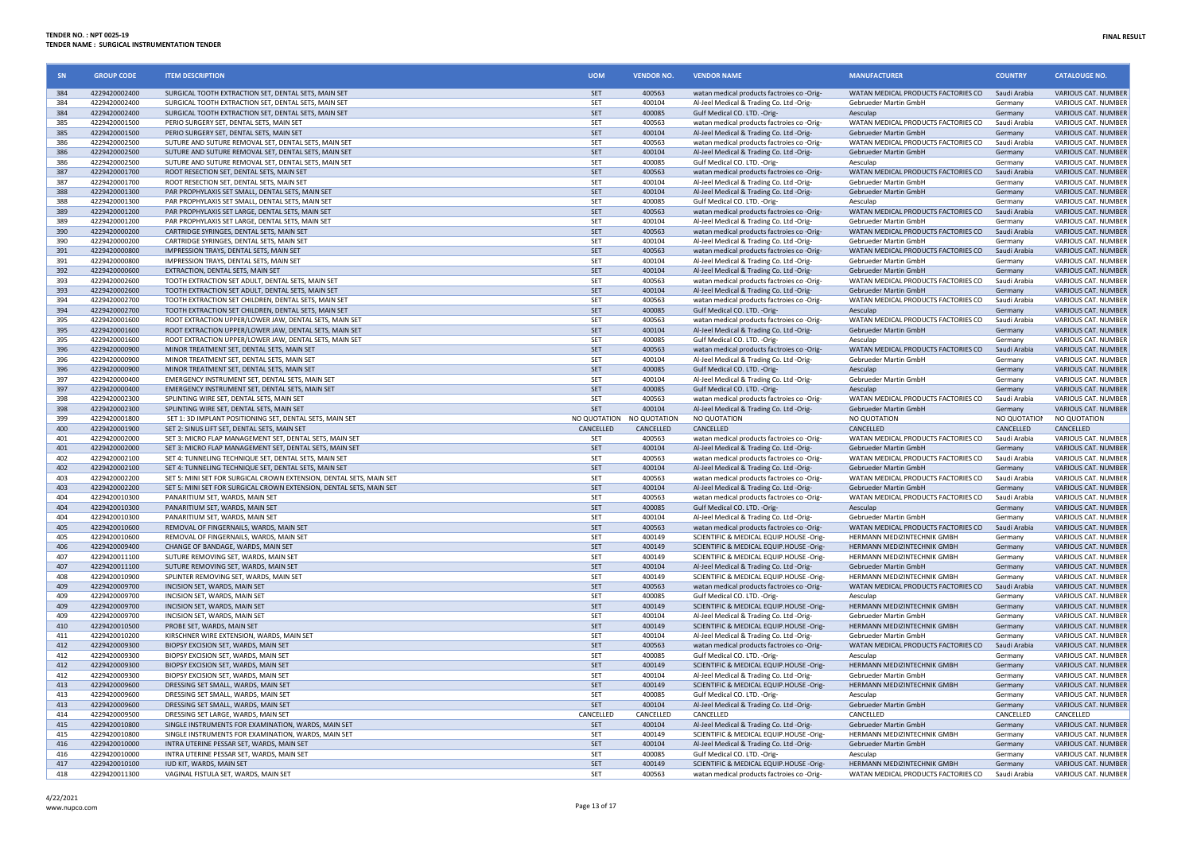| SN         | <b>GROUP CODE</b>              | <b>ITEM DESCRIPTION</b>                                                               | <b>UOM</b> | <b>VENDOR NO.</b>         | <b>VENDOR NAME</b>                                                                     | <b>MANUFACTURER</b>                                          | <b>COUNTRY</b>          | <b>CATALOUGE NO.</b>                              |
|------------|--------------------------------|---------------------------------------------------------------------------------------|------------|---------------------------|----------------------------------------------------------------------------------------|--------------------------------------------------------------|-------------------------|---------------------------------------------------|
| 384        | 4229420002400                  | SURGICAL TOOTH EXTRACTION SET, DENTAL SETS, MAIN SET                                  | SFT        | 400563                    | watan medical products factroies co -Orig-                                             | WATAN MEDICAL PRODUCTS FACTORIES CO Saudi Arabia             |                         | VARIOUS CAT. NUMBER                               |
| 384        | 4229420002400                  | SURGICAL TOOTH EXTRACTION SET, DENTAL SETS, MAIN SET                                  | SET        | 400104                    | Al-Jeel Medical & Trading Co. Ltd -Orig-                                               | Gebrueder Martin GmbH                                        | Germany                 | VARIOUS CAT. NUMBER                               |
| 384        | 4229420002400                  | SURGICAL TOOTH EXTRACTION SET, DENTAL SETS, MAIN SET                                  | SET        | 400085                    | Gulf Medical CO. LTD. - Orig-                                                          | Aesculap                                                     | Germany                 | VARIOUS CAT. NUMBER                               |
| 385        | 4229420001500                  | PERIO SURGERY SET, DENTAL SETS, MAIN SET                                              | SET        | 400563                    | watan medical products factroies co -Orig-                                             | WATAN MEDICAL PRODUCTS FACTORIES CO                          | Saudi Arabia            | VARIOUS CAT. NUMBER                               |
| 385        | 4229420001500                  | PERIO SURGERY SET. DENTAL SETS. MAIN SET                                              | <b>SET</b> | 400104                    | Al-Jeel Medical & Trading Co. Ltd -Orig-                                               | <b>Gebrueder Martin GmbH</b>                                 | Germany                 | <b>VARIOUS CAT, NUMBER</b>                        |
| 386        | 4229420002500                  | SUTURE AND SUTURE REMOVAL SET, DENTAL SETS, MAIN SET                                  | SET        | 400563                    | watan medical products factroies co -Orig-                                             | WATAN MEDICAL PRODUCTS FACTORIES CO                          | Saudi Arabia            | VARIOUS CAT. NUMBER                               |
| 386        | 4229420002500                  | SUTURE AND SUTURE REMOVAL SET, DENTAL SETS, MAIN SET                                  | SET        | 400104                    | Al-Jeel Medical & Trading Co. Ltd -Orig-                                               | Gebrueder Martin GmbH                                        | Germany                 | VARIOUS CAT. NUMBER                               |
| 386        | 4229420002500                  | SUTURE AND SUTURE REMOVAL SET, DENTAL SETS, MAIN SET                                  | SET        | 400085                    | Gulf Medical CO. LTD. -Orig-                                                           | Aesculap                                                     | Germany                 | <b>VARIOUS CAT. NUMBER</b>                        |
| 387        | 4229420001700                  | ROOT RESECTION SET, DENTAL SETS, MAIN SET                                             | SET        | 400563                    | watan medical products factroies co -Orig-                                             | WATAN MEDICAL PRODUCTS FACTORIES CO                          | Saudi Arabia            | VARIOUS CAT. NUMBER                               |
| 387        | 4229420001700                  | ROOT RESECTION SET, DENTAL SETS, MAIN SET                                             | SET        | 400104                    | Al-Jeel Medical & Trading Co. Ltd -Orig-                                               | Gebrueder Martin GmbH                                        | Germany                 | VARIOUS CAT. NUMBER                               |
| 388        | 4229420001300                  | PAR PROPHYLAXIS SET SMALL, DENTAL SETS, MAIN SET                                      | SET        | 400104                    | Al-Jeel Medical & Trading Co. Ltd -Orig-                                               | Gebrueder Martin GmbH                                        | Germany                 | VARIOUS CAT. NUMBER                               |
| 388        | 4229420001300<br>4229420001200 | PAR PROPHYLAXIS SET SMALL, DENTAL SETS, MAIN SET                                      | SET        | 400085                    | Gulf Medical CO. LTD. - Orig-                                                          | Aesculap                                                     | Germany<br>Saudi Arabia | VARIOUS CAT. NUMBER                               |
| 389<br>389 |                                | PAR PROPHYLAXIS SET LARGE, DENTAL SETS, MAIN SET                                      | SET        | 400563                    | watan medical products factroies co -Orig-                                             | WATAN MEDICAL PRODUCTS FACTORIES CO                          |                         | VARIOUS CAT. NUMBER                               |
| 390        | 4229420001200                  | PAR PROPHYLAXIS SET LARGE, DENTAL SETS, MAIN SET                                      | SET<br>SET | 400104                    | Al-Jeel Medical & Trading Co. Ltd -Orig-                                               | Gebrueder Martin GmbH                                        | Germany                 | <b>VARIOUS CAT, NUMBER</b>                        |
| 390        | 4229420000200                  | CARTRIDGE SYRINGES, DENTAL SETS, MAIN SET                                             | SET        | 400563                    | watan medical products factroies co -Orig-                                             | WATAN MEDICAL PRODUCTS FACTORIES CO                          | Saudi Arabia            | VARIOUS CAT. NUMBER<br><b>VARIOUS CAT. NUMBER</b> |
| 391        | 4229420000200<br>4229420000800 | CARTRIDGE SYRINGES, DENTAL SETS, MAIN SET<br>IMPRESSION TRAYS, DENTAL SETS, MAIN SET  | SET        | 400104<br>400563          | Al-Jeel Medical & Trading Co. Ltd -Orig-<br>watan medical products factroies co -Orig- | Gebrueder Martin GmbH<br>WATAN MEDICAL PRODUCTS FACTORIES CO | Germany<br>Saudi Arabia | VARIOUS CAT. NUMBER                               |
| 391        | 4229420000800                  | IMPRESSION TRAYS, DENTAL SETS, MAIN SET                                               | SET        | 400104                    | Al-Jeel Medical & Trading Co. Ltd -Orig-                                               | Gebrueder Martin GmbH                                        | Germany                 | <b>VARIOUS CAT, NUMBER</b>                        |
| 392        | 4229420000600                  | EXTRACTION, DENTAL SETS, MAIN SET                                                     | SET        | 400104                    | Al-Jeel Medical & Trading Co. Ltd -Orig-                                               | Gebrueder Martin GmbH                                        | Germany                 | VARIOUS CAT. NUMBER                               |
| 393        | 4229420002600                  | TOOTH EXTRACTION SET ADULT, DENTAL SETS, MAIN SET                                     | SET        | 400563                    | watan medical products factroies co -Orig-                                             | WATAN MEDICAL PRODUCTS FACTORIES CO                          | Saudi Arabia            | VARIOUS CAT. NUMBER                               |
| 393        | 4229420002600                  | TOOTH EXTRACTION SET ADULT, DENTAL SETS, MAIN SET                                     | SET        | 400104                    | Al-Jeel Medical & Trading Co. Ltd -Orig-                                               | Gebrueder Martin GmbH                                        | Germany                 | <b>VARIOUS CAT, NUMBER</b>                        |
| 394        | 4229420002700                  | TOOTH EXTRACTION SET CHILDREN, DENTAL SETS, MAIN SET                                  | SET        | 400563                    | watan medical products factroies co -Orig-                                             | WATAN MEDICAL PRODUCTS FACTORIES CO                          | Saudi Arabia            | <b>VARIOUS CAT. NUMBER</b>                        |
| 394        | 4229420002700                  | TOOTH EXTRACTION SET CHILDREN, DENTAL SETS, MAIN SET                                  | <b>SET</b> | 400085                    | Gulf Medical CO. LTD. - Orig                                                           | Aesculap                                                     | Germany                 | <b>VARIOUS CAT, NUMBER</b>                        |
| 395        | 4229420001600                  | ROOT EXTRACTION UPPER/LOWER JAW, DENTAL SETS, MAIN SET                                | SET        | 400563                    | watan medical products factroies co -Orig-                                             | WATAN MEDICAL PRODUCTS FACTORIES CO                          | Saudi Arabia            | VARIOUS CAT. NUMBER                               |
| 395        | 4229420001600                  | ROOT EXTRACTION UPPER/LOWER JAW, DENTAL SETS, MAIN SET                                | SET        | 400104                    | Al-Jeel Medical & Trading Co. Ltd -Orig-                                               | Gebrueder Martin GmbH                                        | Germany                 | <b>VARIOUS CAT, NUMBER</b>                        |
| 395        | 4229420001600                  | ROOT EXTRACTION UPPER/LOWER JAW, DENTAL SETS, MAIN SET                                | SET        | 400085                    | Gulf Medical CO. LTD. - Orig-                                                          | Aesculap                                                     | Germany                 | VARIOUS CAT. NUMBER                               |
| 396        | 4229420000900                  | MINOR TREATMENT SET, DENTAL SETS, MAIN SET                                            | SET        | 400563                    | watan medical products factroies co-Orig-                                              | WATAN MEDICAL PRODUCTS FACTORIES CO                          | Saudi Arabia            | VARIOUS CAT. NUMBER                               |
| 396        | 4229420000900                  | MINOR TREATMENT SET. DENTAL SETS. MAIN SET                                            | <b>SFT</b> | 400104                    | Al-Jeel Medical & Trading Co. Ltd -Orig-                                               | Gebrueder Martin GmbH                                        | Germany                 | VARIOUS CAT. NUMBER                               |
| 396        | 4229420000900                  | MINOR TREATMENT SET, DENTAL SETS, MAIN SET                                            | <b>SFT</b> | 400085                    | Gulf Medical CO. LTD. - Orig-                                                          | Aesculap                                                     | Germany                 | VARIOUS CAT. NUMBER                               |
| 397        | 4229420000400                  | EMERGENCY INSTRUMENT SET, DENTAL SETS, MAIN SET                                       | SET        | 400104                    | Al-Jeel Medical & Trading Co. Ltd -Orig-                                               | Gebrueder Martin GmbH                                        | Germany                 | <b>VARIOUS CAT. NUMBER</b>                        |
| 397        | 4229420000400                  | EMERGENCY INSTRUMENT SET, DENTAL SETS, MAIN SET                                       | <b>SET</b> | 400085                    | Gulf Medical CO. LTD. - Orig-                                                          | Aesculap                                                     | Germany                 | VARIOUS CAT. NUMBER                               |
| 398        | 4229420002300                  | SPLINTING WIRE SET, DENTAL SETS, MAIN SET                                             | SET        | 400563                    | watan medical products factroies co -Orig-                                             | WATAN MEDICAL PRODUCTS FACTORIES CO                          | Saudi Arabia            | VARIOUS CAT. NUMBER                               |
| 398        | 4229420002300                  | SPLINTING WIRE SET, DENTAL SETS, MAIN SET                                             | <b>SFT</b> | 400104                    | Al-Jeel Medical & Trading Co. Ltd -Orig-                                               | Gebrueder Martin GmbH                                        | Germany                 | VARIOUS CAT. NUMBER                               |
| 399        | 4229420001800                  | SET 1: 3D IMPLANT POSITIONING SET, DENTAL SETS, MAIN SET                              |            | NO QUOTATION NO QUOTATION | NO QUOTATION                                                                           | NO QUOTATION                                                 | NO QUOTATION            | NO QUOTATION                                      |
| 400        | 4229420001900                  | SET 2: SINUS LIFT SET, DENTAL SETS, MAIN SET                                          | CANCELLED  | <b>CANCELLED</b>          | CANCELLED                                                                              | CANCELLED                                                    | <b>CANCELLED</b>        | <b>CANCELLED</b>                                  |
| 401        | 4229420002000                  | SET 3: MICRO FLAP MANAGEMENT SET, DENTAL SETS, MAIN SET                               | <b>SET</b> | 400563                    | watan medical products factroies co-Orig-                                              | WATAN MEDICAL PRODUCTS FACTORIES CO                          | Saudi Arabia            | VARIOUS CAT. NUMBER                               |
| 401        | 4229420002000                  | SET 3: MICRO FLAP MANAGEMENT SET, DENTAL SETS, MAIN SET                               | SET        | 400104                    | Al-Jeel Medical & Trading Co. Ltd -Orig-                                               | <b>Gebrueder Martin GmbH</b>                                 | Germany                 | VARIOUS CAT. NUMBER                               |
| 402        | 4229420002100                  | SET 4: TUNNELING TECHNIQUE SET, DENTAL SETS, MAIN SET                                 | SET        | 400563                    | watan medical products factroies co -Orig-                                             | WATAN MEDICAL PRODUCTS FACTORIES CO                          | Saudi Arabia            | <b>VARIOUS CAT. NUMBER</b>                        |
| 402        | 4229420002100                  | SET 4: TUNNELING TECHNIQUE SET, DENTAL SETS, MAIN SET                                 | SET        | 400104                    | Al-Jeel Medical & Trading Co. Ltd -Orig-                                               | Gebrueder Martin GmbH                                        | Germany                 | VARIOUS CAT. NUMBER                               |
| 403        | 4229420002200                  | <b>Service</b><br>SET 5: MINI SET FOR SURGICAL CROWN EXTENSION, DENTAL SETS, MAIN SET | SET        | 400563                    | watan medical products factroies co -Orig-                                             | WATAN MEDICAL PRODUCTS FACTORIES CO                          | Saudi Arabia            | VARIOUS CAT. NUMBER                               |
| 403        | 4229420002200                  | SET 5: MINI SET FOR SURGICAL CROWN EXTENSION, DENTAL SETS, MAIN SET                   | <b>SFT</b> | 400104                    | Al-Jeel Medical & Trading Co. Ltd -Orig-                                               | Gebrueder Martin GmbH                                        | Germany                 | <b>VARIOUS CAT. NUMBER</b>                        |
| 404        | 4229420010300                  | PANARITIUM SET. WARDS, MAIN SET                                                       | SET        | 400563                    | watan medical products factroies co -Orig-                                             | WATAN MEDICAL PRODUCTS FACTORIES CO                          | Saudi Arabia            | VARIOUS CAT. NUMBER                               |
| 404        | 4229420010300                  | PANARITIUM SFT. WARDS. MAIN SFT.                                                      | <b>SET</b> | 400085                    | Gulf Medical CO. LTD. - Orig-                                                          | Aesculan                                                     | Germany                 | VARIOUS CAT. NUMBER                               |
| 404        | 4229420010300                  | PANARITIUM SFT. WARDS, MAIN SFT                                                       | SET        | 400104                    | Al-Jeel Medical & Trading Co. Ltd -Orig-                                               | Gebrueder Martin GmbH                                        | Germany                 | VARIOUS CAT. NUMBER                               |
| 405        | 4229420010600                  | REMOVAL OF FINGERNAILS, WARDS, MAIN SET                                               | SFT        | 400563                    | watan medical products factroies co -Orig-                                             | WATAN MEDICAL PRODUCTS FACTORIES CO                          | Saudi Arabia            | <b>VARIOUS CAT, NUMBER</b>                        |
| 405        | 4229420010600                  | REMOVAL OF FINGERNAILS, WARDS, MAIN SET                                               | SET        | 400149                    | SCIENTIFIC & MEDICAL EQUIP.HOUSE -Orig-                                                | HERMANN MEDIZINTECHNIK GMBH                                  | Germany                 | VARIOUS CAT. NUMBER                               |
| 406        | 4229420009400                  | CHANGE OF BANDAGE, WARDS, MAIN SET                                                    | SET        | 400149                    | SCIENTIFIC & MEDICAL EQUIP.HOUSE -Orig-                                                | HERMANN MEDIZINTECHNIK GMBH                                  | Germany                 | VARIOUS CAT. NUMBER                               |
| 407        | 4229420011100                  | SUTURE REMOVING SET, WARDS, MAIN SET                                                  | SET        | 400149                    | SCIENTIFIC & MEDICAL EQUIP.HOUSE -Orig-                                                | HERMANN MEDIZINTECHNIK GMBH                                  | Germany                 | VARIOUS CAT. NUMBER                               |
| 407<br>408 | 4229420011100<br>4229420010900 | SUTURE REMOVING SET, WARDS, MAIN SET<br>SPLINTER REMOVING SET, WARDS, MAIN SET        | SET<br>SET | 400104<br>400149          | Al-Jeel Medical & Trading Co. Ltd -Orig-<br>SCIENTIFIC & MEDICAL EQUIP.HOUSE -Orig-    | Gebrueder Martin GmbH<br>HERMANN MEDIZINTECHNIK GMBH         | Germany                 | VARIOUS CAT. NUMBER<br>VARIOUS CAT. NUMBER        |
| 409        |                                | <b>INCISION SET, WARDS, MAIN SET</b>                                                  |            |                           |                                                                                        | WATAN MEDICAL PRODUCTS FACTORIES CO                          | Germany                 | <b>VARIOUS CAT, NUMBER</b>                        |
| 409        | 4229420009700<br>4229420009700 | INCISION SET, WARDS, MAIN SET                                                         | SET<br>SET | 400563<br>400085          | watan medical products factroies co -Orig-<br>Gulf Medical CO. LTD. -Orig              | Aesculap                                                     | Saudi Arabia<br>Germany | <b>VARIOUS CAT, NUMBER</b>                        |
| 409        | 4229420009700                  | INCISION SET, WARDS, MAIN SET                                                         | SET        | 400149                    | SCIENTIFIC & MEDICAL EQUIP.HOUSE -Orig-                                                | HERMANN MEDIZINTECHNIK GMBH                                  | Germany                 | VARIOUS CAT. NUMBER                               |
| 409        | 4229420009700                  | INCISION SET, WARDS, MAIN SET                                                         | SET        | 400104                    | Al-Jeel Medical & Trading Co. Ltd -Orig-                                               | Gebrueder Martin GmbH                                        | Germany                 | VARIOUS CAT. NUMBER                               |
| 410        | 4229420010500                  | PROBE SET, WARDS, MAIN SET                                                            | <b>SET</b> | 400149                    | SCIENTIFIC & MEDICAL EQUIP.HOUSE -Orig-                                                | <b>HERMANN MEDIZINTECHNIK GMBH</b>                           | Germany                 | <b>VARIOUS CAT, NUMBER</b>                        |
| 411        | 4229420010200                  | KIRSCHNER WIRE EXTENSION, WARDS, MAIN SET                                             | SET        | 400104                    | Al-Jeel Medical & Trading Co. Ltd -Orig-                                               | Gebrueder Martin GmbH                                        | Germanv                 | VARIOUS CAT. NUMBER                               |
| 412        | 4229420009300                  | BIOPSY EXCISION SET, WARDS, MAIN SET                                                  | SET        | 400563                    | watan medical products factroies co -Orig-                                             | WATAN MEDICAL PRODUCTS FACTORIES CO                          | Saudi Arabia            | VARIOUS CAT. NUMBER                               |
| 412        | 4229420009300                  | BIOPSY EXCISION SET, WARDS, MAIN SET                                                  | SFT        | 400085                    | Gulf Medical CO. LTD. - Orig-                                                          | Aesculan                                                     | Germany                 | VARIOUS CAT. NUMBER                               |
| 412        | 4229420009300                  | BIOPSY EXCISION SET, WARDS, MAIN SET                                                  | SET        | 400149                    | SCIENTIFIC & MEDICAL EQUIP.HOUSE -Orig-                                                | HERMANN MEDIZINTECHNIK GMBH                                  | Germany                 | VARIOUS CAT. NUMBER                               |
| 412        | 4229420009300                  | BIOPSY EXCISION SET, WARDS, MAIN SET                                                  | SET        | 400104                    | Al-Jeel Medical & Trading Co. Ltd -Orig-                                               | Gebrueder Martin GmbH                                        | Germany                 | VARIOUS CAT. NUMBER                               |
| 413        | 4229420009600                  | DRESSING SET SMALL, WARDS, MAIN SET                                                   | <b>SET</b> | 400149                    | SCIENTIFIC & MEDICAL EQUIP.HOUSE -Orig-                                                | HERMANN MEDIZINTECHNIK GMBH                                  | Germany                 | VARIOUS CAT. NUMBER                               |
| 413        | 4229420009600                  | DRESSING SET SMALL, WARDS, MAIN SET                                                   | SET        | 400085                    | Gulf Medical CO. LTD. -Orig-                                                           | Aesculap                                                     | Germany                 | VARIOUS CAT. NUMBER                               |
| 413        | 4229420009600                  | DRESSING SET SMALL, WARDS, MAIN SET                                                   | SET        | 400104                    | Al-Jeel Medical & Trading Co. Ltd -Orig-                                               | Gebrueder Martin GmbH                                        | Germany                 | VARIOUS CAT. NUMBER                               |
| 414        | 4229420009500                  | DRESSING SET LARGE, WARDS, MAIN SET                                                   | CANCELLED  | CANCELLED                 | CANCELLED                                                                              | CANCELLED                                                    | CANCELLED               | CANCELLED                                         |
| 415        | 4229420010800                  | SINGLE INSTRUMENTS FOR EXAMINATION, WARDS, MAIN SET                                   | SET        | 400104                    | Al-Jeel Medical & Trading Co. Ltd -Orig-                                               | <b>Gebrueder Martin GmbH</b>                                 | Germany                 | VARIOUS CAT. NUMBER                               |
| 415        | 4229420010800                  | SINGLE INSTRUMENTS FOR EXAMINATION, WARDS, MAIN SET                                   | SET        | 400149                    | SCIENTIFIC & MEDICAL EQUIP.HOUSE -Orig-                                                | HERMANN MEDIZINTECHNIK GMBH                                  | Germany                 | VARIOUS CAT. NUMBER                               |
| 416        | 4229420010000                  | INTRA UTERINE PESSAR SET, WARDS, MAIN SET                                             | <b>SET</b> | 400104                    | Al-Jeel Medical & Trading Co. Ltd -Orig-                                               | Gebrueder Martin GmbH                                        | Germany                 | VARIOUS CAT. NUMBER                               |
| 416        | 4229420010000                  | INTRA UTERINE PESSAR SET, WARDS, MAIN SET                                             | SET        | 400085                    | Gulf Medical CO. LTD. -Orig-                                                           | Aesculap                                                     | Germany                 | VARIOUS CAT. NUMBER                               |
| 417        | 4229420010100                  | IUD KIT, WARDS, MAIN SET                                                              | SET        | 400149                    | SCIENTIFIC & MEDICAL EQUIP.HOUSE -Orig-                                                | HERMANN MEDIZINTECHNIK GMBH                                  | Germany                 | VARIOUS CAT. NUMBER                               |
| 418        | 4229420011300                  | VAGINAL FISTULA SET, WARDS, MAIN SET                                                  | SFT        | 400563                    | watan medical products factroies co -Orig-                                             | WATAN MEDICAL PRODUCTS FACTORIES CO.                         | Saudi Arabia            | VARIOUS CAT. NUMBER                               |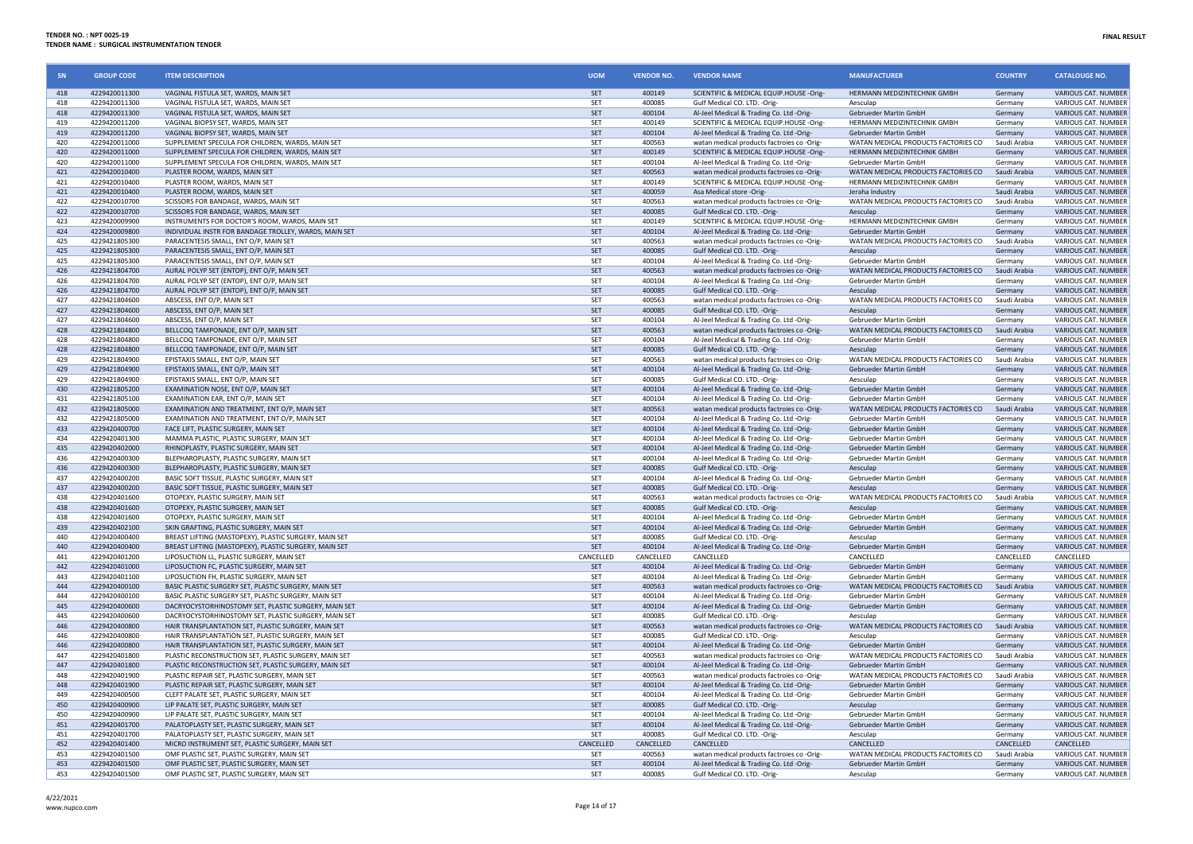| SN                | <b>GROUP CODE</b>              | <b>ITEM DESCRIPTION</b>                                                                                      | <b>UOM</b>               | <b>VENDOR NO.</b>   | <b>VENDOR NAME</b>                                                                     | <b>MANUFACTURER</b>                                          | <b>COUNTRY</b>            | <b>CATALOUGE NO.</b>                              |
|-------------------|--------------------------------|--------------------------------------------------------------------------------------------------------------|--------------------------|---------------------|----------------------------------------------------------------------------------------|--------------------------------------------------------------|---------------------------|---------------------------------------------------|
| 418               | 4229420011300                  | VAGINAL FISTULA SET. WARDS, MAIN SET                                                                         | <b>SET</b>               | 400149              | SCIENTIFIC & MEDICAL EQUIP.HOUSE -Orig-                                                | HERMANN MEDIZINTECHNIK GMBH                                  | Germany                   | VARIOUS CAT, NUMBER                               |
| 418               | 4229420011300                  | VAGINAL FISTULA SET, WARDS, MAIN SET                                                                         | SET                      | 400085              | Gulf Medical CO. LTD. - Orig-                                                          | Aesculap                                                     | Germany                   | VARIOUS CAT. NUMBER                               |
| 418               | 4229420011300                  | VAGINAL FISTULA SET, WARDS, MAIN SET                                                                         | SET                      | 400104              | Al-Jeel Medical & Trading Co. Ltd -Orig-                                               | Gebrueder Martin GmbH                                        | Germany                   | VARIOUS CAT. NUMBER                               |
| 419               | 4229420011200                  | VAGINAL BIOPSY SET, WARDS, MAIN SET                                                                          | SFT                      | 400149              | SCIENTIFIC & MEDICAL EQUIP.HOUSE -Orig-                                                | HERMANN MEDIZINTECHNIK GMBH                                  | Germany                   | VARIOUS CAT. NUMBER                               |
| 419<br>420        | 4229420011200<br>4229420011000 | VAGINAL BIOPSY SET, WARDS, MAIN SET<br>SUPPLEMENT SPECULA FOR CHILDREN, WARDS, MAIN SET                      | SET<br>SET               | 400104<br>400563    | Al-Jeel Medical & Trading Co. Ltd -Orig-<br>watan medical products factroies co -Orig- | Gebrueder Martin GmbH<br>WATAN MEDICAL PRODUCTS FACTORIES CO | Germany<br>Saudi Arabia   | VARIOUS CAT. NUMBER<br>VARIOUS CAT. NUMBER        |
| 420               | 4229420011000                  | SUPPLEMENT SPECULA FOR CHILDREN, WARDS, MAIN SET                                                             | SET                      | 400149              | SCIENTIFIC & MEDICAL EQUIP.HOUSE -Orig-                                                | HERMANN MEDIZINTECHNIK GMBH                                  | Germany                   | VARIOUS CAT. NUMBER                               |
| 420               | 4229420011000                  | SUPPLEMENT SPECULA FOR CHILDREN, WARDS, MAIN SET                                                             | SET                      | 400104              | Al-Jeel Medical & Trading Co. Ltd -Orig-                                               | Gebrueder Martin GmbH                                        | Germany                   | VARIOUS CAT. NUMBER                               |
| 421               | 4229420010400                  | PLASTER ROOM, WARDS, MAIN SET                                                                                | SET                      | 400563              | watan medical products factroies co -Orig-                                             | WATAN MEDICAL PRODUCTS FACTORIES CO                          | Saudi Arabia              | <b>VARIOUS CAT, NUMBER</b>                        |
| 421               | 4229420010400                  | PLASTER ROOM, WARDS, MAIN SET                                                                                | SET                      | 400149              | SCIENTIFIC & MEDICAL EQUIP.HOUSE -Orig-                                                | HERMANN MEDIZINTECHNIK GMBH                                  | Germany                   | VARIOUS CAT. NUMBER                               |
| 421               | 4229420010400                  | PLASTER ROOM, WARDS, MAIN SET                                                                                | SET                      | 400059              | Asa Medical store -Orig-                                                               | Jeraha Industry                                              | Saudi Arabia              | VARIOUS CAT. NUMBER                               |
| 422               | 4229420010700                  | SCISSORS FOR BANDAGE, WARDS, MAIN SET                                                                        | SET                      | 400563              | watan medical products factroies co -Orig-                                             | WATAN MEDICAL PRODUCTS FACTORIES CO                          | Saudi Arabia              | VARIOUS CAT. NUMBER                               |
| 422               | 4229420010700                  | SCISSORS FOR BANDAGE, WARDS, MAIN SET                                                                        | SET                      | 400085              | Gulf Medical CO. LTD. - Orig-                                                          | Aesculap                                                     | Germany                   | VARIOUS CAT. NUMBER                               |
| 423               | 4229420009900                  | INSTRUMENTS FOR DOCTOR'S ROOM, WARDS, MAIN SET                                                               | SET                      | 400149              | SCIENTIFIC & MEDICAL EQUIP.HOUSE -Orig-                                                | HERMANN MEDIZINTECHNIK GMBH                                  | Germany                   | VARIOUS CAT. NUMBER                               |
| 424               | 4229420009800                  | INDIVIDUAL INSTR FOR BANDAGE TROLLEY, WARDS, MAIN SET                                                        | SET                      | 400104              | Al-Jeel Medical & Trading Co. Ltd -Orig-                                               | <b>Gebrueder Martin GmbH</b>                                 | Germany                   | VARIOUS CAT. NUMBER                               |
| 425               | 4229421805300                  | PARACENTESIS SMALL, ENT O/P, MAIN SET                                                                        | SET                      | 400563              | watan medical products factroies co -Orig                                              | WATAN MEDICAL PRODUCTS FACTORIES CO                          | Saudi Arabia              | VARIOUS CAT. NUMBER                               |
| 425               | 4229421805300                  | PARACENTESIS SMALL, ENT O/P, MAIN SET                                                                        | SET                      | 400085              | Gulf Medical CO. LTD. - Orig-                                                          | Aesculap                                                     | Germany                   | <b>VARIOUS CAT, NUMBER</b>                        |
| 425               | 4229421805300                  | PARACENTESIS SMALL, ENT O/P, MAIN SET                                                                        | SET                      | 400104              | Al-Jeel Medical & Trading Co. Ltd -Orig-                                               | Gebrueder Martin GmbH                                        | Germany                   | VARIOUS CAT. NUMBER                               |
| 426               | 4229421804700                  | AURAL POLYP SET (ENTOP), ENT O/P, MAIN SET                                                                   | SET                      | 400563              | watan medical products factroies co -Orig-                                             | WATAN MEDICAL PRODUCTS FACTORIES CO                          | Saudi Arabia              | VARIOUS CAT. NUMBER                               |
| 426<br>426        | 4229421804700<br>4229421804700 | AURAL POLYP SET (ENTOP), ENT O/P, MAIN SET                                                                   | SET<br><b>SET</b>        | 400104<br>400085    | Al-Jeel Medical & Trading Co. Ltd -Orig-                                               | Gebrueder Martin GmbH<br>Aesculan                            | Germany<br>Germany        | VARIOUS CAT. NUMBER<br><b>VARIOUS CAT, NUMBER</b> |
| 427               | 4229421804600                  | AURAL POLYP SET (ENTOP), ENT O/P, MAIN SET<br>ABSCESS, ENT O/P. MAIN SET                                     | SET                      | 400563              | Gulf Medical CO. LTD. - Orig-<br>watan medical products factroies co -Orig-            | WATAN MEDICAL PRODUCTS FACTORIES CO                          | Saudi Arabia              | VARIOUS CAT. NUMBER                               |
| 427               | 4229421804600                  | ABSCESS, ENT O/P, MAIN SET                                                                                   | SET                      | 400085              | Gulf Medical CO. LTD. - Orig-                                                          | Aesculan                                                     | Germany                   | VARIOUS CAT. NUMBER                               |
| 427               | 4229421804600                  | ABSCESS, ENT O/P, MAIN SET                                                                                   | SET                      | 400104              | Al-Jeel Medical & Trading Co. Ltd -Orig-                                               | Gebrueder Martin GmbH                                        | Germany                   | VARIOUS CAT. NUMBER                               |
| 428               | 4229421804800                  | BELLCOQ TAMPONADE, ENT O/P, MAIN SET                                                                         | SET                      | 400563              | watan medical products factroies co -Orig-                                             | WATAN MEDICAL PRODUCTS FACTORIES CO                          | Saudi Arabia              | VARIOUS CAT. NUMBER                               |
| 428               | 4229421804800                  | BELLCOQ TAMPONADE, ENT O/P, MAIN SET                                                                         | SET                      | 400104              | Al-Jeel Medical & Trading Co. Ltd -Orig-                                               | Gebrueder Martin GmbH                                        | Germany                   | <b>VARIOUS CAT, NUMBER</b>                        |
| 428               | 4229421804800                  | BELLCOQ TAMPONADE, ENT O/P, MAIN SET                                                                         | SET                      | 400085              | Gulf Medical CO. LTD. - Orig-                                                          | Aesculap                                                     | Germany                   | <b>VARIOUS CAT, NUMBER</b>                        |
| 429               | 4229421804900                  | EPISTAXIS SMALL, ENT O/P, MAIN SET                                                                           | SET                      | 400563              | watan medical products factroies co-Orig-                                              | WATAN MEDICAL PRODUCTS FACTORIES CO                          | Saudi Arabia              | VARIOUS CAT. NUMBER                               |
| 429               | 4229421804900                  | EPISTAXIS SMALL, ENT O/P, MAIN SET                                                                           | SET                      | 400104              | Al-Jeel Medical & Trading Co. Ltd -Orig-                                               | Gebrueder Martin GmbH                                        | Germany                   | VARIOUS CAT. NUMBER                               |
| 429               | 4229421804900                  | FPISTAXIS SMALL, FNT O/P, MAIN SFT                                                                           | SET                      | 400085              | Gulf Medical CO. LTD. - Orig-                                                          | Aesculan                                                     | Germany                   | <b>VARIOUS CAT, NUMBER</b>                        |
| 430               | 4229421805200                  | EXAMINATION NOSE, ENT O/P, MAIN SET                                                                          | <b>SFT</b>               | 400104              | Al-Jeel Medical & Trading Co. Ltd -Orig-                                               | Gebrueder Martin GmbH                                        | Germany                   | VARIOUS CAT. NUMBER                               |
| 431               | 4229421805100                  | EXAMINATION EAR, ENT O/P, MAIN SET                                                                           | <b>SET</b>               | 400104              | Al-Jeel Medical & Trading Co. Ltd -Orig                                                | Gebrueder Martin GmbH                                        | Germany                   | VARIOUS CAT. NUMBER                               |
| 432               | 4229421805000                  | EXAMINATION AND TREATMENT, ENT O/P, MAIN SET                                                                 | SET                      | 400563              | watan medical products factroies co -Orig-                                             | WATAN MEDICAL PRODUCTS FACTORIES CO                          | Saudi Arabia              | VARIOUS CAT. NUMBER                               |
| 432               | 4229421805000                  | EXAMINATION AND TREATMENT, ENT O/P, MAIN SET                                                                 | SET                      | 400104              | Al-Jeel Medical & Trading Co. Ltd -Orig-                                               | Gebrueder Martin GmbH                                        | Germany                   | VARIOUS CAT. NUMBER                               |
| 433               | 4229420400700                  | FACE LIFT, PLASTIC SURGERY, MAIN SET                                                                         | SET                      | 400104              | Al-Jeel Medical & Trading Co. Ltd -Orig-                                               | Gebrueder Martin GmbH                                        | Germany                   | VARIOUS CAT. NUMBER                               |
| 434<br>435        | 4229420401300<br>4229420402000 | MAMMA PLASTIC, PLASTIC SURGERY, MAIN SET<br>RHINOPLASTY, PLASTIC SURGERY, MAIN SET                           | <b>SET</b><br><b>SET</b> | 400104<br>400104    | Al-Jeel Medical & Trading Co. Ltd -Orig-<br>Al-Jeel Medical & Trading Co. Ltd -Orig-   | Gebrueder Martin GmbH<br><b>Gebrueder Martin GmbH</b>        | Germany<br>Germany        | VARIOUS CAT. NUMBER<br><b>VARIOUS CAT, NUMBER</b> |
| 436               | 4229420400300                  | BLEPHAROPLASTY, PLASTIC SURGERY, MAIN SET                                                                    | SET                      | 400104              | Al-Jeel Medical & Trading Co. Ltd -Orig-                                               | Gebrueder Martin GmbH                                        | Germany                   | VARIOUS CAT. NUMBER                               |
| 436               | 4229420400300                  | BLEPHAROPLASTY, PLASTIC SURGERY, MAIN SET                                                                    | SET                      | 400085              | Gulf Medical CO. LTD. - Orig-                                                          | Aesculap                                                     | Germany                   | VARIOUS CAT. NUMBER                               |
| 437               | 4229420400200                  | BASIC SOFT TISSUE, PLASTIC SURGERY, MAIN SET                                                                 | SET                      | 400104              | Al-Jeel Medical & Trading Co. Ltd -Orig-                                               | Gebrueder Martin GmbH                                        | Germany                   | VARIOUS CAT. NUMBER                               |
| 437               | 4229420400200                  | BASIC SOFT TISSUE, PLASTIC SURGERY, MAIN SET                                                                 | SET                      | 400085              | Gulf Medical CO. LTD. - Orig-                                                          | Aesculap                                                     | Germany                   | VARIOUS CAT. NUMBER                               |
| 438               | 4229420401600                  | OTOPEXY, PLASTIC SURGERY, MAIN SET                                                                           | SET                      | 400563              | watan medical products factroies co -Orig-                                             | WATAN MEDICAL PRODUCTS FACTORIES CO                          | Saudi Arabia              | VARIOUS CAT. NUMBER                               |
| 438               | 4229420401600                  | OTOPEXY, PLASTIC SURGERY, MAIN SET                                                                           | SET                      | 400085              | Gulf Medical CO. LTD. - Orig-                                                          | Aesculan                                                     | Germany                   | VARIOUS CAT. NUMBER                               |
| 438               | 4229420401600                  | OTOPEXY, PLASTIC SURGERY, MAIN SET                                                                           | SET                      | 400104              | Al-Jeel Medical & Trading Co. Ltd -Orig-                                               | Gebrueder Martin GmbH                                        | Germany                   | VARIOUS CAT. NUMBER                               |
| 439               | 4229420402100                  | SKIN GRAFTING. PLASTIC SURGERY, MAIN SFT                                                                     | SET                      | 400104              | Al-Jeel Medical & Trading Co. Ltd -Orig-                                               | Gebrueder Martin GmbH                                        | Germany                   | VARIOUS CAT. NUMBER                               |
| $\Delta \Delta f$ | 4229420400400                  | BREAST LIFTING (MASTOPEXY), PLASTIC SURGERY, MAIN SET                                                        | SET                      | 400085              | Gulf Medical CO. LTD. - Orig-                                                          | Aesculap                                                     | Germany                   | <b>VARIOUS CAT, NUMBER</b>                        |
| $\Delta \Delta f$ | 4229420400400                  | BREAST LIFTING (MASTOPEXY), PLASTIC SURGERY, MAIN SET                                                        | SFT                      | 400104              | Al-Jeel Medical & Trading Co. Ltd -Orig-                                               | <b>Gebrueder Martin GmbH</b>                                 | Germany                   | VARIOUS CAT. NUMBER                               |
| 441               | 4229420401200                  | LIPOSUCTION LL, PLASTIC SURGERY, MAIN SET                                                                    | CANCELLED                | CANCELLED           | CANCELLED                                                                              | CANCELLED                                                    | CANCELLED                 | CANCELLED                                         |
| 442               | 4229420401000                  | LIPOSUCTION FC, PLASTIC SURGERY, MAIN SET                                                                    | SET                      | 400104              | Al-Jeel Medical & Trading Co. Ltd -Orig-                                               | Gebrueder Martin GmbH                                        | Germany                   | VARIOUS CAT. NUMBER                               |
| 443<br>444        | 4229420401100                  | LIPOSUCTION FH. PLASTIC SURGERY, MAIN SET                                                                    | SET                      | 400104              | Al-Jeel Medical & Trading Co. Ltd -Orig-                                               | Gebrueder Martin GmbH                                        | Germany                   | <b>VARIOUS CAT, NUMBER</b>                        |
| 444               | 4229420400100<br>4229420400100 | BASIC PLASTIC SURGERY SET, PLASTIC SURGERY, MAIN SET<br>BASIC PLASTIC SURGERY SET, PLASTIC SURGERY, MAIN SET | SET<br>SET               | 400563<br>400104    | watan medical products factroies co -Orig-<br>Al-Jeel Medical & Trading Co. Ltd -Orig- | WATAN MEDICAL PRODUCTS FACTORIES CO<br>Gebrueder Martin GmbH | Saudi Arabia<br>Germany   | VARIOUS CAT. NUMBER<br>VARIOUS CAT. NUMBER        |
| 445               | 4229420400600                  | DACRYOCYSTORHINOSTOMY SET, PLASTIC SURGERY, MAIN SET                                                         | SET                      | 400104              | Al-Jeel Medical & Trading Co. Ltd -Orig-                                               | <b>Gebrueder Martin GmbH</b>                                 | Germany                   | <b>VARIOUS CAT, NUMBER</b>                        |
| 445               | 4229420400600                  | DACRYOCYSTORHINOSTOMY SET, PLASTIC SURGERY, MAIN SET                                                         | SET                      | 400085              | Gulf Medical CO, LTD, -Orig-                                                           | Aesculan                                                     | Germany                   | VARIOUS CAT. NUMBER                               |
| 446               | 4229420400800                  | HAIR TRANSPLANTATION SET, PLASTIC SURGERY, MAIN SET                                                          | SET                      | 400563              | watan medical products factroies co -Orig-                                             | WATAN MEDICAL PRODUCTS FACTORIES CO                          | Saudi Arabia              | VARIOUS CAT. NUMBER                               |
| 446               | 4229420400800                  | HAIR TRANSPLANTATION SET, PLASTIC SURGERY, MAIN SET                                                          | SET                      | 400085              | Gulf Medical CO. LTD. - Orig-                                                          | Aesculap                                                     | Germany                   | VARIOUS CAT. NUMBER                               |
| 446               | 4229420400800                  | HAIR TRANSPLANTATION SET, PLASTIC SURGERY, MAIN SET                                                          | SET                      | 400104              | Al-Jeel Medical & Trading Co. Ltd -Orig-                                               | Gebrueder Martin GmbH                                        | Germany                   | VARIOUS CAT. NUMBER                               |
| 447               | 4229420401800                  | PLASTIC RECONSTRUCTION SET, PLASTIC SURGERY, MAIN SET                                                        | SET                      | 400563              | watan medical products factroies co -Orig                                              | WATAN MEDICAL PRODUCTS FACTORIES CO                          | Saudi Arabia              | VARIOUS CAT. NUMBER                               |
| 447               | 4229420401800                  | PLASTIC RECONSTRUCTION SET, PLASTIC SURGERY, MAIN SET                                                        | <b>SFT</b>               | 400104              | Al-Jeel Medical & Trading Co. Ltd -Orig-                                               | Gebrueder Martin GmbH                                        | Germany                   | VARIOUS CAT. NUMBER                               |
| 448               | 4229420401900                  | PLASTIC REPAIR SET, PLASTIC SURGERY, MAIN SET                                                                | SET                      | 400563              | watan medical products factroies co -Orig                                              | WATAN MEDICAL PRODUCTS FACTORIES CO                          | Saudi Arabia              | VARIOUS CAT. NUMBER                               |
| 448               | 4229420401900                  | PLASTIC REPAIR SET. PLASTIC SURGERY, MAIN SET                                                                | <b>SET</b>               | 400104              | Al-Jeel Medical & Trading Co. Ltd -Orig-                                               | Gebrueder Martin GmbH                                        | Germany                   | VARIOUS CAT, NUMBER                               |
| 449               | 4229420400500                  | CLEET PALATE SET. PLASTIC SURGERY, MAIN SET                                                                  | SET                      | 400104              | Al-Jeel Medical & Trading Co. Ltd -Orig-                                               | Gebrueder Martin GmbH                                        | Germany                   | VARIOUS CAT. NUMBER                               |
| 450               | 4229420400900                  | LIP PALATE SET, PLASTIC SURGERY, MAIN SET                                                                    | <b>SFT</b>               | 400085              | Gulf Medical CO. LTD. - Orig-                                                          | Aesculap                                                     | Germany                   | VARIOUS CAT. NUMBER                               |
| 450               | 4229420400900                  | LIP PALATE SET, PLASTIC SURGERY, MAIN SET                                                                    | SET                      | 400104              | Al-Jeel Medical & Trading Co. Ltd -Orig-                                               | Gebrueder Martin GmbH                                        | Germany                   | VARIOUS CAT. NUMBER                               |
| 451               | 4229420401700                  | PALATOPLASTY SET, PLASTIC SURGERY, MAIN SET                                                                  | <b>SET</b>               | 400104              | Al-Jeel Medical & Trading Co. Ltd -Orig-                                               | Gebrueder Martin GmbH                                        | Germany                   | VARIOUS CAT. NUMBER                               |
| 451               | 4229420401700                  | PALATOPLASTY SET, PLASTIC SURGERY, MAIN SET                                                                  | <b>SET</b>               | 400085              | Gulf Medical CO. LTD. - Orig-                                                          | Aesculap                                                     | Germany                   | VARIOUS CAT. NUMBER                               |
| 452<br>453        | 4229420401400<br>4229420401500 | MICRO INSTRUMENT SET, PLASTIC SURGERY, MAIN SET<br>OMF PLASTIC SET, PLASTIC SURGERY, MAIN SET                | CANCELLED<br><b>SET</b>  | CANCELLED<br>400563 | CANCELLED<br>watan medical products factroies co-Orig-                                 | CANCELLED<br>WATAN MEDICAL PRODUCTS FACTORIES CO             | CANCELLED<br>Saudi Arabia | CANCELLED<br>VARIOUS CAT. NUMBER                  |
| 453               | 4229420401500                  | OMF PLASTIC SET, PLASTIC SURGERY, MAIN SET                                                                   | SET                      | 400104              | Al-Jeel Medical & Trading Co. Ltd -Orig-                                               | Gebrueder Martin GmbH                                        | Germany                   | VARIOUS CAT. NUMBER                               |
| 453               | 4229420401500                  | OMF PLASTIC SET, PLASTIC SURGERY, MAIN SET                                                                   | SFT                      | 400085              | Gulf Medical CO. LTD. - Orig-                                                          | Aesculap                                                     | Germany                   | VARIOUS CAT. NUMBER                               |
|                   |                                |                                                                                                              |                          |                     |                                                                                        |                                                              |                           |                                                   |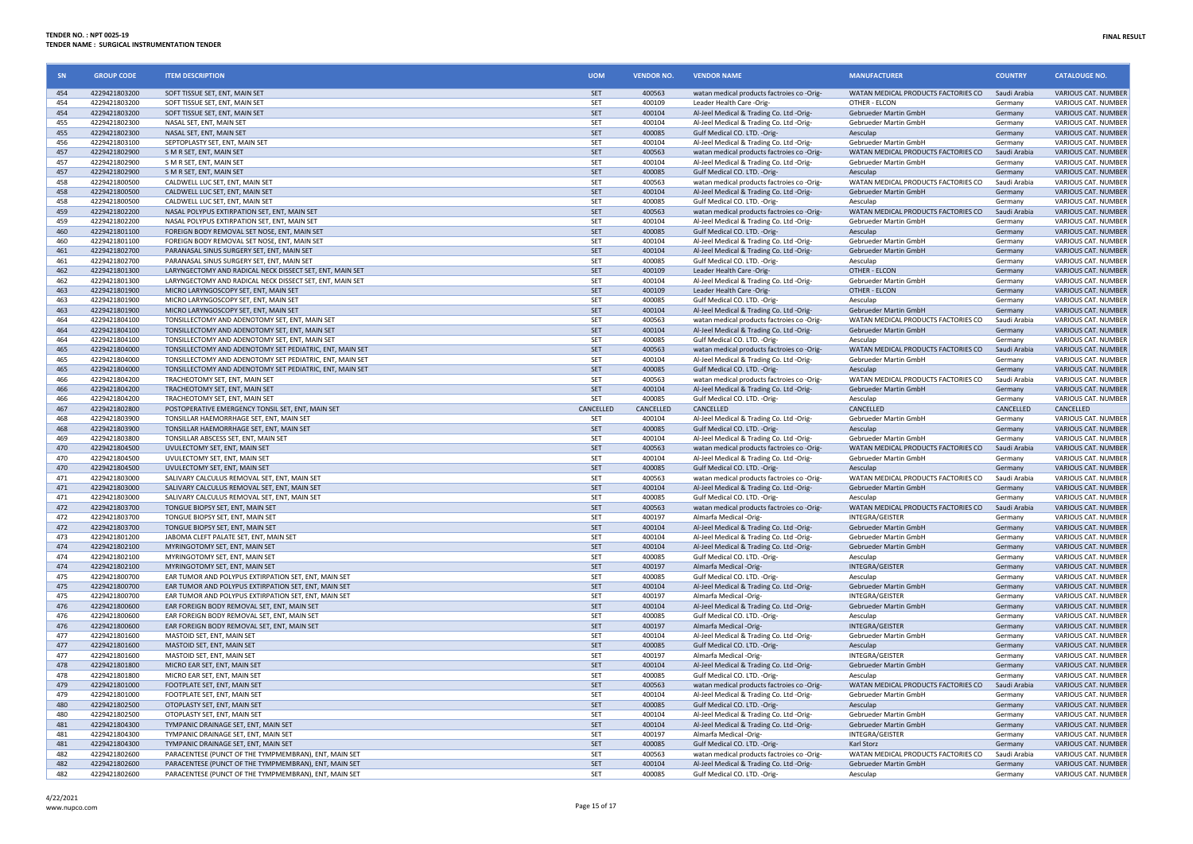| SN         | <b>GROUP CODE</b>              | <b>ITEM DESCRIPTION</b>                                                                    | <b>UOM</b>        | <b>VENDOR NO.</b> | <b>VENDOR NAME</b>                                                                     | <b>MANUFACTURER</b>                                          | <b>COUNTRY</b>          | <b>CATALOUGE NO.</b>                              |
|------------|--------------------------------|--------------------------------------------------------------------------------------------|-------------------|-------------------|----------------------------------------------------------------------------------------|--------------------------------------------------------------|-------------------------|---------------------------------------------------|
| 454        | 4229421803200                  | SOFT TISSUE SET, ENT, MAIN SET                                                             | SET               | 400563            | watan medical products factroies co -Orig-                                             | WATAN MEDICAL PRODUCTS FACTORIES CO                          | Saudi Arabia            | VARIOUS CAT. NUMBER                               |
| 454        | 4229421803200                  | SOFT TISSUE SET, ENT, MAIN SET                                                             | SFT               | 400109            | Leader Health Care -Orig-                                                              | OTHER - FLCON                                                | Germany                 | VARIOUS CAT. NUMBER                               |
| 454<br>455 | 4229421803200<br>4229421802300 | SOFT TISSUE SET, ENT, MAIN SET<br>NASAL SET, ENT, MAIN SET                                 | SET<br>SFT        | 400104<br>400104  | Al-Jeel Medical & Trading Co. Ltd -Orig-                                               | Gebrueder Martin GmbH<br>Gebrueder Martin GmbH               | Germany<br>Germany      | VARIOUS CAT. NUMBER<br>VARIOUS CAT. NUMBER        |
| 455        | 4229421802300                  | NASAL SET, ENT, MAIN SET                                                                   | SET               | 400085            | Al-Jeel Medical & Trading Co. Ltd -Orig-<br>Gulf Medical CO. LTD. - Orig-              | Aesculap                                                     | Germany                 | VARIOUS CAT. NUMBER                               |
| 456        | 4229421803100                  | SEPTOPLASTY SET, ENT, MAIN SET                                                             | <b>SET</b>        | 400104            | Al-Jeel Medical & Trading Co. Ltd -Orig-                                               | Gebrueder Martin GmbH                                        | Germany                 | <b>VARIOUS CAT, NUMBER</b>                        |
| 457        | 4229421802900                  | S M R SET, ENT, MAIN SET                                                                   | SET               | 400563            | watan medical products factroies co -Orig-                                             | WATAN MEDICAL PRODUCTS FACTORIES CO                          | Saudi Arabia            | VARIOUS CAT. NUMBER                               |
| 457        | 4229421802900                  | S M R SET, ENT, MAIN SET                                                                   | <b>SET</b>        | 400104            | Al-Jeel Medical & Trading Co. Ltd -Orig-                                               | Gebrueder Martin GmbH                                        | Germany                 | VARIOUS CAT. NUMBER                               |
| 457        | 4229421802900                  | S M R SET, ENT, MAIN SET                                                                   | SET               | 400085            | Gulf Medical CO. LTD. - Orig-                                                          | Aesculap                                                     | Germany                 | VARIOUS CAT. NUMBER                               |
| 458        | 4229421800500                  | CALDWELL LUC SET, ENT, MAIN SET                                                            | SET               | 400563            | watan medical products factroies co-Orig-                                              | WATAN MEDICAL PRODUCTS FACTORIES CO                          | Saudi Arabia            | VARIOUS CAT. NUMBER                               |
| 458        | 4229421800500                  | CALDWELL LUC SET, ENT, MAIN SET                                                            | SET               | 400104            | Al-Jeel Medical & Trading Co. Ltd -Orig-                                               | Gebrueder Martin GmbH                                        | Germany                 | <b>VARIOUS CAT, NUMBER</b>                        |
| 458<br>459 | 4229421800500<br>4229421802200 | CALDWELL LUC SET. ENT. MAIN SET<br>NASAL POLYPUS EXTIRPATION SET, ENT, MAIN SET            | SET<br>SET        | 400085<br>400563  | Gulf Medical CO. LTD. - Orig-<br>watan medical products factroies co -Orig-            | Aesculan<br>WATAN MEDICAL PRODUCTS FACTORIES CO              | Germany<br>Saudi Arabia | VARIOUS CAT. NUMBER<br><b>VARIOUS CAT, NUMBER</b> |
| 459        | 4229421802200                  | NASAL POLYPUS EXTIRPATION SET, ENT, MAIN SET                                               | SET               | 400104            | Al-Jeel Medical & Trading Co. Ltd -Orig-                                               | Gebrueder Martin GmbH                                        | Germany                 | VARIOUS CAT. NUMBER                               |
| 460        | 4229421801100                  | FOREIGN BODY REMOVAL SET NOSE, ENT, MAIN SET                                               | SET               | 400085            | Gulf Medical CO. LTD. - Orig-                                                          | Aesculap                                                     | Germany                 | VARIOUS CAT. NUMBER                               |
| 460        | 4229421801100                  | FOREIGN BODY REMOVAL SET NOSE, ENT, MAIN SET                                               | SET               | 400104            | Al-Jeel Medical & Trading Co. Ltd -Orig-                                               | Gebrueder Martin GmbH                                        | Germany                 | VARIOUS CAT. NUMBER                               |
| 461        | 4229421802700                  | PARANASAL SINUS SURGERY SET, ENT, MAIN SET                                                 | SET               | 400104            | Al-Jeel Medical & Trading Co. Ltd -Orig-                                               | Gebrueder Martin GmbH                                        | Germany                 | VARIOUS CAT. NUMBER                               |
| 461        | 4229421802700                  | PARANASAL SINUS SURGERY SET. ENT. MAIN SET                                                 | SET               | 400085            | Gulf Medical CO. LTD. -Orig-                                                           | Aesculan                                                     | Germany                 | VARIOUS CAT. NUMBER                               |
| 462        | 4229421801300                  | LARYNGECTOMY AND RADICAL NECK DISSECT SET, ENT, MAIN SET                                   | SET               | 400109            | Leader Health Care -Orig-                                                              | OTHER - ELCON                                                | Germany                 | VARIOUS CAT. NUMBER                               |
| 462        | 4229421801300                  | LARYNGECTOMY AND RADICAL NECK DISSECT SET. ENT. MAIN SET                                   | SET               | 400104            | Al-Jeel Medical & Trading Co. Ltd -Orig-                                               | Gebrueder Martin GmbH                                        | Germany                 | <b>VARIOUS CAT, NUMBER</b>                        |
| 463<br>463 | 4229421801900<br>4229421801900 | MICRO LARYNGOSCOPY SET, ENT, MAIN SET<br>MICRO LARYNGOSCOPY SET, ENT, MAIN SET             | SET<br>SET        | 400109<br>400085  | Leader Health Care -Orig-<br>Gulf Medical CO. LTD. - Orig-                             | OTHER - ELCON<br>Aesculap                                    | Germany<br>Germany      | VARIOUS CAT. NUMBER<br>VARIOUS CAT. NUMBER        |
| 463        | 4229421801900                  | MICRO LARYNGOSCOPY SET, ENT, MAIN SET                                                      | SET               | 400104            | Al-Jeel Medical & Trading Co. Ltd -Orig-                                               | Gebrueder Martin GmbH                                        | Germany                 | VARIOUS CAT. NUMBER                               |
| 464        | 4229421804100                  | TONSILLECTOMY AND ADENOTOMY SET, ENT, MAIN SET                                             | SET               | 400563            | watan medical products factroies co-Orig-                                              | WATAN MEDICAL PRODUCTS FACTORIES CO                          | Saudi Arabia            | VARIOUS CAT. NUMBER                               |
| 464        | 4229421804100                  | TONSILLECTOMY AND ADENOTOMY SET. ENT. MAIN SET                                             | <b>SET</b>        | 400104            | Al-Jeel Medical & Trading Co. Ltd -Orig-                                               | <b>Gebrueder Martin GmbH</b>                                 | Germany                 | <b>VARIOUS CAT, NUMBER</b>                        |
| 464        | 4229421804100                  | TONSILLECTOMY AND ADENOTOMY SET, ENT, MAIN SET                                             | <b>SET</b>        | 400085            | Gulf Medical CO, LTD, -Orig-                                                           | Aesculan                                                     | Germany                 | VARIOUS CAT. NUMBER                               |
| 465        | 4229421804000                  | TONSILLECTOMY AND ADENOTOMY SET PEDIATRIC, ENT, MAIN SET                                   | SET               | 400563            | watan medical products factroies co -Orig-                                             | WATAN MEDICAL PRODUCTS FACTORIES CO                          | Saudi Arabia            | VARIOUS CAT. NUMBER                               |
| 465        | 4229421804000                  | TONSILLECTOMY AND ADENOTOMY SET PEDIATRIC, ENT, MAIN SET                                   | SET               | 400104            | Al-Jeel Medical & Trading Co. Ltd -Orig-                                               | Gebrueder Martin GmbH                                        | Germany                 | VARIOUS CAT. NUMBER                               |
| 465<br>466 | 4229421804000<br>4229421804200 | TONSILLECTOMY AND ADENOTOMY SET PEDIATRIC, ENT, MAIN SET<br>TRACHEOTOMY SET, ENT, MAIN SET | SET<br>SET        | 400085<br>400563  | Gulf Medical CO. LTD. - Orig-<br>watan medical products factroies co -Orig-            | Aesculap<br>WATAN MEDICAL PRODUCTS FACTORIES CO              | Germany<br>Saudi Arabia | VARIOUS CAT. NUMBER<br>VARIOUS CAT. NUMBER        |
| 466        | 4229421804200                  | TRACHEOTOMY SET, ENT, MAIN SET                                                             | <b>SFT</b>        | 400104            | Al-Jeel Medical & Trading Co. Ltd -Orig-                                               | Gebrueder Martin GmbH                                        | Germany                 | VARIOUS CAT. NUMBER                               |
| 466        | 4229421804200                  | TRACHEOTOMY SET. ENT. MAIN SET                                                             | <b>SET</b>        | 400085            | Gulf Medical CO, LTD, -Orig-                                                           | Aesculan                                                     | Germany                 | VARIOUS CAT. NUMBER                               |
| 467        | 4229421802800                  | POSTOPERATIVE EMERGENCY TONSIL SET, ENT, MAIN SET                                          | CANCELLED         | CANCELLED         | <b>CANCELLED</b>                                                                       | CANCELLED                                                    | CANCELLED               | CANCELLED                                         |
| 468        | 4229421803900                  | TONSILLAR HAEMORRHAGE SET, ENT, MAIN SET                                                   | <b>SET</b>        | 400104            | Al-Jeel Medical & Trading Co. Ltd -Orig-                                               | Gebrueder Martin GmbH                                        | Germany                 | VARIOUS CAT. NUMBER                               |
| 468        | 4229421803900                  | TONSILLAR HAEMORRHAGE SET, ENT, MAIN SET                                                   | SET               | 400085            | Gulf Medical CO. LTD. - Orig-                                                          | Aesculap                                                     | Germany                 | VARIOUS CAT. NUMBER                               |
| 469        | 4229421803800                  | TONSILLAR ABSCESS SET, ENT, MAIN SET                                                       | SET               | 400104            | Al-Jeel Medical & Trading Co. Ltd -Orig-                                               | Gebrueder Martin GmbH                                        | Germany                 | VARIOUS CAT. NUMBER                               |
| 470<br>470 | 4229421804500<br>4229421804500 | UVULECTOMY SET, ENT, MAIN SET<br>UVULECTOMY SET, ENT, MAIN SET                             | <b>SFT</b><br>SET | 400563<br>400104  | watan medical products factroies co -Orig-<br>Al-Jeel Medical & Trading Co. Ltd -Orig- | WATAN MEDICAL PRODUCTS FACTORIES CO<br>Gebrueder Martin GmbH | Saudi Arabia<br>Germany | <b>VARIOUS CAT. NUMBER</b><br>VARIOUS CAT. NUMBER |
| 470        | 4229421804500                  | UVULECTOMY SET. ENT. MAIN SET                                                              | <b>SET</b>        | 400085            | Gulf Medical CO, LTD, -Orig-                                                           | Aesculan                                                     | Germany                 | <b>VARIOUS CAT, NUMBER</b>                        |
| 471        | 4229421803000                  | SALIVARY CALCULUS REMOVAL SET, ENT, MAIN SET                                               | SET               | 400563            | watan medical products factroies co -Orig-                                             | WATAN MEDICAL PRODUCTS FACTORIES CO                          | Saudi Arabia            | VARIOUS CAT. NUMBER                               |
| 471        | 4229421803000                  | SALIVARY CALCULUS REMOVAL SET, ENT, MAIN SET                                               | SET               | 400104            | Al-Jeel Medical & Trading Co. Ltd -Orig-                                               | Gebrueder Martin GmbH                                        | Germany                 | VARIOUS CAT. NUMBER                               |
| 471        | 4229421803000                  | SALIVARY CALCULUS REMOVAL SET, ENT, MAIN SET                                               | SET               | 400085            | Gulf Medical CO. LTD. - Orig-                                                          | Aesculap                                                     | Germany                 | VARIOUS CAT. NUMBER                               |
| 472        | 4229421803700                  | TONGUE BIOPSY SET, ENT, MAIN SET                                                           | SET               | 400563            | watan medical products factroies co -Orig-                                             | WATAN MEDICAL PRODUCTS FACTORIES CO                          | Saudi Arabia            | VARIOUS CAT. NUMBER                               |
| 472        | 4229421803700                  | TONGUE BIOPSY SET, ENT, MAIN SET                                                           | <b>SET</b>        | 400197            | Almarfa Medical -Orig-                                                                 | INTEGRA/GEISTER                                              | Germany                 | VARIOUS CAT. NUMBER                               |
| 472        | 4229421803700                  | TONGUE BIOPSY SET, ENT, MAIN SET                                                           | <b>SET</b>        | 400104            | Al-Jeel Medical & Trading Co. Ltd -Orig-                                               | Gebrueder Martin GmbH                                        | Germany                 | VARIOUS CAT. NUMBER                               |
| 473<br>474 | 4229421801200<br>4229421802100 | JABOMA CLEFT PALATE SET, ENT, MAIN SET<br>MYRINGOTOMY SET, ENT, MAIN SET                   | SET<br>SET        | 400104<br>400104  | Al-Jeel Medical & Trading Co. Ltd -Orig<br>Al-Jeel Medical & Trading Co. Ltd -Orig-    | <b>Gebrueder Martin GmbH</b><br>Gebrueder Martin GmbH        | Germany<br>Germany      | VARIOUS CAT. NUMBER<br>VARIOUS CAT. NUMBER        |
| 474        | 4229421802100                  | MYRINGOTOMY SFT. FNT. MAIN SFT                                                             | SET               | 400085            | Gulf Medical CO. LTD. - Orig-                                                          | Aesculap                                                     | Germany                 | VARIOUS CAT. NUMBER                               |
| 474        | 4229421802100                  | MYRINGOTOMY SET, ENT, MAIN SET                                                             | SET               | 400197            | Almarfa Medical -Orig-                                                                 | INTEGRA/GEISTER                                              | Germany                 | VARIOUS CAT. NUMBER                               |
| 475        | 4229421800700                  | EAR TUMOR AND POLYPUS EXTIRPATION SET, ENT, MAIN SET                                       | SET               | 400085            | Gulf Medical CO. LTD. - Orig-                                                          | Aesculap                                                     | Germany                 | VARIOUS CAT. NUMBER                               |
| 475        | 4229421800700                  | EAR TUMOR AND POLYPUS EXTIRPATION SET, ENT, MAIN SET                                       | SET               | 400104            | Al-Jeel Medical & Trading Co. Ltd -Orig-                                               | Gebrueder Martin GmbH                                        | Germany                 | <b>VARIOUS CAT, NUMBER</b>                        |
| 475        | 4229421800700                  | EAR TUMOR AND POLYPUS EXTIRPATION SET, ENT, MAIN SET                                       | SET               | 400197            | Almarfa Medical -Orig-                                                                 | INTEGRA/GEISTER                                              | Germany                 | <b>VARIOUS CAT. NUMBER</b>                        |
| 476        | 4229421800600                  | EAR FOREIGN BODY REMOVAL SET, ENT, MAIN SET                                                | SET               | 400104            | Al-Jeel Medical & Trading Co. Ltd -Orig-                                               | Gebrueder Martin GmbH                                        | Germany                 | <b>VARIOUS CAT. NUMBER</b>                        |
| 476<br>476 | 4229421800600<br>4229421800600 | EAR FOREIGN BODY REMOVAL SET, ENT, MAIN SET<br>EAR FOREIGN BODY REMOVAL SET, ENT, MAIN SET | SET<br>SET        | 400085<br>400197  | Gulf Medical CO. LTD. - Orig-                                                          | Aesculan<br>INTEGRA/GEISTER                                  | Germany                 | VARIOUS CAT. NUMBER<br><b>VARIOUS CAT. NUMBER</b> |
| 477        | 4229421801600                  | MASTOID SET, ENT, MAIN SET                                                                 | SET               | 400104            | Almarfa Medical -Orig-<br>Al-Jeel Medical & Trading Co. Ltd -Orig-                     | Gebrueder Martin GmbH                                        | Germany<br>Germany      | <b>VARIOUS CAT, NUMBER</b>                        |
| 477        | 4229421801600                  | MASTOID SET, ENT, MAIN SET                                                                 | SET               | 400085            | Gulf Medical CO. LTD. - Orig-                                                          | Aesculap                                                     | Germany                 | VARIOUS CAT. NUMBER                               |
| 477        | 4229421801600                  | MASTOID SET, ENT, MAIN SET                                                                 | SET               | 400197            | Almarfa Medical -Orig-                                                                 | INTEGRA/GEISTER                                              | Germany                 | <b>VARIOUS CAT, NUMBER</b>                        |
| 478        | 4229421801800                  | MICRO EAR SET, ENT, MAIN SET                                                               | SET               | 400104            | Al-Jeel Medical & Trading Co. Ltd -Orig-                                               | Gebrueder Martin GmbH                                        | Germany                 | <b>VARIOUS CAT, NUMBER</b>                        |
| 478        | 4229421801800                  | MICRO EAR SET, ENT, MAIN SET                                                               | SET               | 400085            | Gulf Medical CO. LTD. - Orig-                                                          | Aesculap                                                     | Germany                 | VARIOUS CAT. NUMBER                               |
| 479        | 4229421801000                  | FOOTPLATE SET, ENT, MAIN SET                                                               | SET               | 400563            | watan medical products factroies co -Orig-                                             | WATAN MEDICAL PRODUCTS FACTORIES CO                          | Saudi Arabia            | VARIOUS CAT. NUMBER                               |
| 479        | 4229421801000                  | FOOTPLATE SET. ENT. MAIN SET                                                               | SFT               | 400104            | Al-Jeel Medical & Trading Co. Ltd -Orig-                                               | Gebrueder Martin GmbH                                        | Germany                 | VARIOUS CAT. NUMBER                               |
| 480<br>480 | 4229421802500<br>4229421802500 | OTOPLASTY SET, ENT, MAIN SET<br>OTOPLASTY SET, ENT, MAIN SET                               | SET<br>SET        | 400085<br>400104  | Gulf Medical CO. LTD. - Orig-<br>Al-Jeel Medical & Trading Co. Ltd -Orig-              | Aesculap<br>Gebrueder Martin GmbH                            | Germany<br>Germany      | VARIOUS CAT. NUMBER<br>VARIOUS CAT. NUMBER        |
| 481        | 4229421804300                  | TYMPANIC DRAINAGE SET, ENT, MAIN SET                                                       | SET               | 400104            | Al-Jeel Medical & Trading Co. Ltd -Orig-                                               | Gebrueder Martin GmbH                                        | Germany                 | VARIOUS CAT. NUMBER                               |
| 481        | 4229421804300                  | TYMPANIC DRAINAGE SET. ENT. MAIN SET                                                       | SET               | 400197            | Almarfa Medical -Orig-                                                                 | INTEGRA/GEISTER                                              | Germany                 | <b>VARIOUS CAT, NUMBER</b>                        |
| 481        | 4229421804300                  | TYMPANIC DRAINAGE SET, ENT, MAIN SET                                                       | SET               | 400085            | Gulf Medical CO. LTD. - Orig-                                                          | Karl Storz                                                   | Germany                 | VARIOUS CAT. NUMBER                               |
| 482        | 4229421802600                  | PARACENTESE (PUNCT OF THE TYMPMEMBRAN), ENT, MAIN SET                                      | SET               | 400563            | watan medical products factroies co-Orig-                                              | WATAN MEDICAL PRODUCTS FACTORIES CO                          | Saudi Arabia            | VARIOUS CAT. NUMBER                               |
| 482        | 4229421802600                  | PARACENTESE (PUNCT OF THE TYMPMEMBRAN), ENT, MAIN SET                                      | SET               | 400104            | Al-Jeel Medical & Trading Co. Ltd -Orig-                                               | Gebrueder Martin GmbH                                        | Germany                 | VARIOUS CAT. NUMBER                               |
| 482        | 4229421802600                  | PARACENTESE (PUNCT OF THE TYMPMEMBRAN), ENT, MAIN SET                                      | <b>SET</b>        | 400085            | Gulf Medical CO. LTD. - Orig-                                                          | Aesculap                                                     | Germany                 | VARIOUS CAT. NUMBER                               |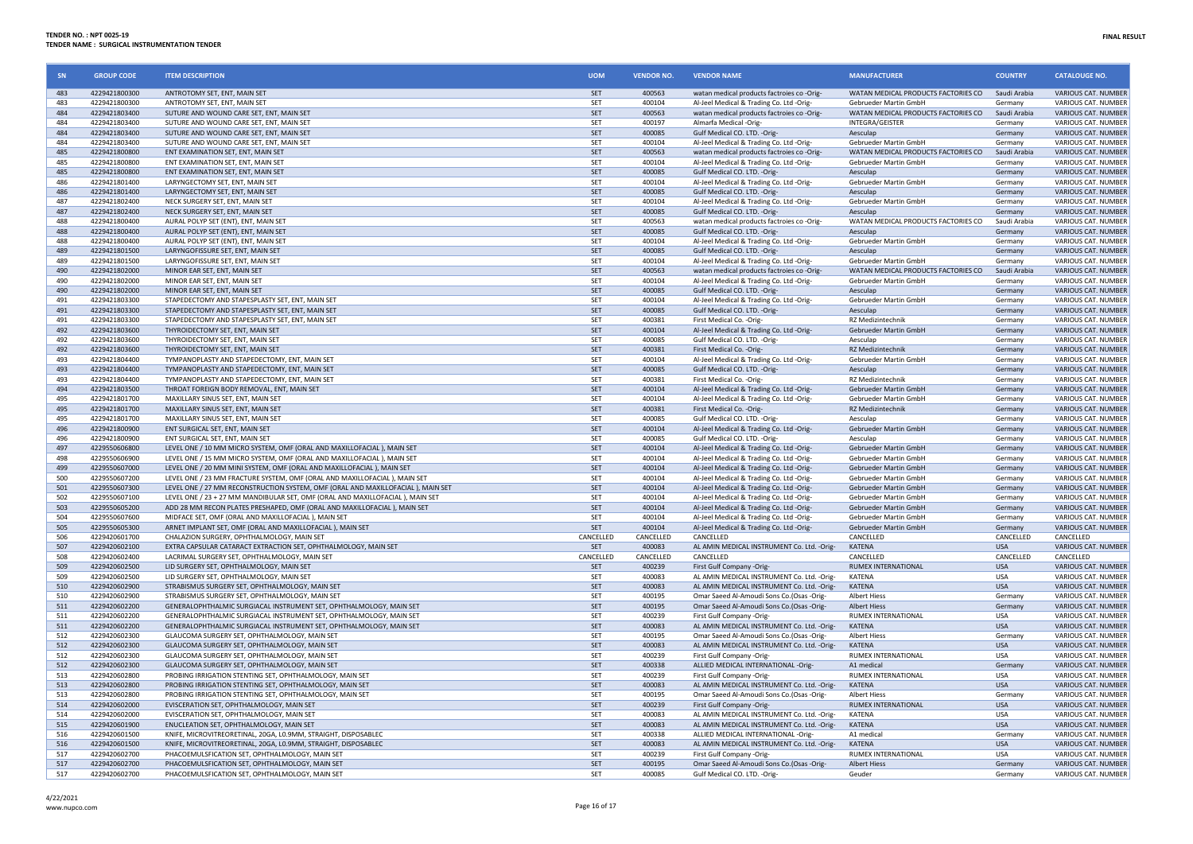| SN              | <b>GROUP CODE</b>              | <b>ITEM DESCRIPTION</b>                                                                                                           | <b>UOM</b>               | <b>VENDOR NO.</b> | <b>VENDOR NAME</b>                                                                       | <b>MANUFACTURER</b>                                   | <b>COUNTRY</b>        | <b>CATALOUGE NO.</b>                                     |
|-----------------|--------------------------------|-----------------------------------------------------------------------------------------------------------------------------------|--------------------------|-------------------|------------------------------------------------------------------------------------------|-------------------------------------------------------|-----------------------|----------------------------------------------------------|
| 483             | 4229421800300                  | ANTROTOMY SET, ENT, MAIN SET                                                                                                      | <b>SET</b>               | 400563            | watan medical products factroies co -Orig-                                               | WATAN MEDICAL PRODUCTS FACTORIES CO                   | Saudi Arabia          | <b>VARIOUS CAT. NUMBER</b>                               |
| 483             | 4229421800300                  | ANTROTOMY SET, ENT, MAIN SET                                                                                                      | SET                      | 400104            | Al-Jeel Medical & Trading Co. Ltd -Orig-                                                 | Gebrueder Martin GmbH                                 | Germany               | VARIOUS CAT. NUMBER                                      |
| 484             | 4229421803400                  | SUTURE AND WOUND CARE SET, ENT, MAIN SET                                                                                          | <b>SET</b>               | 400563            | watan medical products factroies co -Orig-                                               | WATAN MEDICAL PRODUCTS FACTORIES CO                   | Saudi Arabia          | <b>VARIOUS CAT. NUMBER</b>                               |
| 484             | 4229421803400                  | SUTURE AND WOUND CARE SET, ENT, MAIN SET                                                                                          | SET                      | 400197            | Almarfa Medical -Orig-                                                                   | INTEGRA/GEISTER                                       | Germany               | VARIOUS CAT. NUMBER                                      |
| 484<br>484      | 4229421803400<br>4229421803400 | SUTURE AND WOUND CARE SET, ENT, MAIN SET<br>SUTURE AND WOUND CARE SET, ENT, MAIN SET                                              | <b>SET</b><br>SET        | 400085<br>400104  | Gulf Medical CO. LTD. - Orig-<br>Al-Jeel Medical & Trading Co. Ltd -Orig-                | Aesculap<br>Gebrueder Martin GmbH                     | Germany<br>Germany    | <b>VARIOUS CAT, NUMBER</b><br>VARIOUS CAT. NUMBER        |
| 485             | 4229421800800                  | ENT EXAMINATION SET, ENT, MAIN SET                                                                                                | <b>SET</b>               | 400563            | watan medical products factroies co -Orig-                                               | WATAN MEDICAL PRODUCTS FACTORIES CO                   | Saudi Arabia          | <b>VARIOUS CAT. NUMBER</b>                               |
| 485             | 4229421800800                  | ENT EXAMINATION SET, ENT, MAIN SET                                                                                                | <b>SET</b>               | 400104            | Al-Jeel Medical & Trading Co. Ltd -Orig-                                                 | Gebrueder Martin GmbH                                 | Germany               | <b>VARIOUS CAT, NUMBER</b>                               |
| 485             | 4229421800800                  | ENT EXAMINATION SET, ENT, MAIN SET                                                                                                | <b>SET</b>               | 400085            | Gulf Medical CO. LTD. - Orig-                                                            | Aesculap                                              | Germany               | <b>VARIOUS CAT. NUMBER</b>                               |
| 486             | 4229421801400                  | LARYNGECTOMY SET, ENT, MAIN SET                                                                                                   | SET                      | 400104            | Al-Jeel Medical & Trading Co. Ltd -Orig-                                                 | Gebrueder Martin GmbH                                 | Germany               | VARIOUS CAT. NUMBER                                      |
| 486             | 4229421801400                  | LARYNGECTOMY SET, ENT, MAIN SET                                                                                                   | SET                      | 400085            | Gulf Medical CO. LTD. - Orig-                                                            | Aesculap                                              | Germany               | VARIOUS CAT. NUMBER                                      |
| 487             | 4229421802400                  | NECK SURGERY SET. ENT. MAIN SET                                                                                                   | SET                      | 400104            | Al-Jeel Medical & Trading Co. Ltd -Orig-                                                 | Gebrueder Martin GmbH                                 | Germany               | <b>VARIOUS CAT. NUMBER</b>                               |
| 487             | 4229421802400                  | NECK SURGERY SET, ENT, MAIN SET                                                                                                   | SET                      | 400085            | Gulf Medical CO. LTD. - Orig-                                                            | Aesculap                                              | Germany               | <b>VARIOUS CAT, NUMBER</b>                               |
| 488<br>488      | 4229421800400<br>4229421800400 | AURAL POLYP SET (ENT), ENT, MAIN SET                                                                                              | <b>SET</b><br><b>SET</b> | 400563<br>400085  | watan medical products factroies co -Orig-                                               | WATAN MEDICAL PRODUCTS FACTORIES CO<br>Aesculap       | Saudi Arabia          | <b>VARIOUS CAT, NUMBER</b><br><b>VARIOUS CAT, NUMBER</b> |
| 488             | 4229421800400                  | AURAL POLYP SET (ENT), ENT, MAIN SET<br>AURAL POLYP SET (ENT), ENT, MAIN SET                                                      | SET                      | 400104            | Gulf Medical CO. LTD. - Orig-<br>Al-Jeel Medical & Trading Co. Ltd -Orig-                | Gebrueder Martin GmbH                                 | Germany<br>Germany    | VARIOUS CAT. NUMBER                                      |
| 489             | 4229421801500                  | LARYNGOFISSURE SET, ENT, MAIN SET                                                                                                 | <b>SET</b>               | 400085            | Gulf Medical CO. LTD. - Orig-                                                            | Aesculap                                              | Germany               | VARIOUS CAT. NUMBER                                      |
| <b>489</b>      | 4229421801500                  | LARYNGOFISSURE SET, ENT, MAIN SET                                                                                                 | SET                      | 400104            | Al-Jeel Medical & Trading Co. Ltd -Orig-                                                 | Gebrueder Martin GmbH                                 | Germany               | <b>VARIOUS CAT. NUMBER</b>                               |
| 490             | 4229421802000                  | MINOR EAR SET, ENT, MAIN SET                                                                                                      | SET                      | 400563            | watan medical products factroies co -Orig                                                | WATAN MEDICAL PRODUCTS FACTORIES CO                   | Saudi Arabia          | VARIOUS CAT. NUMBER                                      |
| 490             | 4229421802000                  | MINOR EAR SET, ENT, MAIN SET                                                                                                      | SET                      | 400104            | Al-Jeel Medical & Trading Co. Ltd -Orig-                                                 | Gebrueder Martin GmbH                                 | Germany               | VARIOUS CAT. NUMBER                                      |
| 490             | 4229421802000                  | MINOR EAR SET, ENT, MAIN SET                                                                                                      | SET                      | 400085            | Gulf Medical CO. LTD. - Orig-                                                            | Aesculap                                              | Germany               | <b>VARIOUS CAT, NUMBER</b>                               |
| 491             | 4229421803300                  | STAPEDECTOMY AND STAPESPLASTY SET, ENT, MAIN SET                                                                                  | SET                      | 400104            | Al-Jeel Medical & Trading Co. Ltd -Orig-                                                 | Gebrueder Martin GmbH                                 | Germany               | <b>VARIOUS CAT. NUMBER</b>                               |
| 491             | 4229421803300                  | STAPEDECTOMY AND STAPESPLASTY SET, ENT, MAIN SET                                                                                  | <b>SET</b>               | 400085<br>400381  | Gulf Medical CO. LTD. - Orig-<br>First Medical Co. - Orig                                | Aesculap                                              | Germany               | VARIOUS CAT. NUMBER<br>VARIOUS CAT. NUMBER               |
| 491<br>492      | 4229421803300<br>4229421803600 | STAPEDECTOMY AND STAPESPLASTY SET, ENT, MAIN SET<br>THYROIDECTOMY SET, ENT, MAIN SET                                              | SET<br>SET               | 400104            |                                                                                          | RZ Medizintechnik<br>Gebrueder Martin GmbH            | Germany               | <b>VARIOUS CAT, NUMBER</b>                               |
| 492             | 4229421803600                  | THYROIDECTOMY SET, ENT, MAIN SET                                                                                                  | SET                      | 400085            | Al-Jeel Medical & Trading Co. Ltd -Orig-<br>Gulf Medical CO. LTD. - Orig-                | Aesculap                                              | Germany<br>Germany    | VARIOUS CAT. NUMBER                                      |
| 492             | 4229421803600                  | THYROIDECTOMY SET, ENT, MAIN SET                                                                                                  | SET                      | 400381            | First Medical Co. - Orig                                                                 | RZ Medizintechnik                                     | Germany               | VARIOUS CAT. NUMBER                                      |
| 493             | 4229421804400                  | TYMPANOPLASTY AND STAPEDECTOMY, ENT. MAIN SET                                                                                     | SET                      | 400104            | Al-Jeel Medical & Trading Co. Ltd -Orig-                                                 | Gebrueder Martin GmbH                                 | Germany               | <b>VARIOUS CAT. NUMBER</b>                               |
| 493             | 4229421804400                  | TYMPANOPLASTY AND STAPEDECTOMY, ENT, MAIN SET                                                                                     | <b>SFT</b>               | 400085            | Gulf Medical CO. LTD. -Orig-                                                             | Aesculan                                              | <b>Germany</b>        | VARIOUS CAT. NUMBER                                      |
| 493             | 4229421804400                  | TYMPANOPLASTY AND STAPEDECTOMY, ENT, MAIN SET                                                                                     | SET                      | 400381            | First Medical Co. - Orig-                                                                | RZ Medizintechnik                                     | Germany               | VARIOUS CAT. NUMBER                                      |
| 494             | 4229421803500                  | THROAT FOREIGN BODY REMOVAL, ENT, MAIN SET                                                                                        | <b>SET</b>               | 400104            | Al-Jeel Medical & Trading Co. Ltd -Orig-                                                 | <b>Gebrueder Martin GmbH</b>                          | <b>Germany</b>        | <b>VARIOUS CAT. NUMBER</b>                               |
| 495             | 4229421801700                  | MAXILLARY SINUS SET. ENT. MAIN SET                                                                                                | <b>SET</b>               | 400104            | Al-Jeel Medical & Trading Co. Ltd -Orig-                                                 | <b>Gebrueder Martin GmbH</b>                          | Germany               | VARIOUS CAT. NUMBER                                      |
| 495             | 4229421801700                  | MAXILLARY SINUS SET, ENT, MAIN SET                                                                                                | <b>SET</b>               | 400381            | First Medical Co. - Orig-                                                                | RZ Medizintechnik                                     | Germany               | VARIOUS CAT. NUMBER                                      |
| 495<br>496      | 4229421801700<br>4229421800900 | MAXILLARY SINUS SET, ENT, MAIN SET<br>ENT SURGICAL SET, ENT, MAIN SET                                                             | SET<br><b>SFT</b>        | 400085<br>400104  | Gulf Medical CO. LTD. - Orig-<br>Al-Jeel Medical & Trading Co. Ltd -Orig-                | Aesculap<br>Gebrueder Martin GmbH                     | Germany<br>Germany    | VARIOUS CAT. NUMBER<br>VARIOUS CAT. NUMBER               |
| 496             | 4229421800900                  | ENT SURGICAL SET, ENT, MAIN SET                                                                                                   | <b>SET</b>               | 400085            | Gulf Medical CO. LTD. - Orig-                                                            | Aesculan                                              | Germany               | VARIOUS CAT. NUMBER                                      |
| 497             | 4229550606800                  | LEVEL ONE / 10 MM MICRO SYSTEM, OMF (ORAL AND MAXILLOFACIAL ), MAIN SET                                                           | <b>SET</b>               | 400104            | Al-Jeel Medical & Trading Co. Ltd -Orig-                                                 | <b>Gebrueder Martin GmbH</b>                          | Germany               | VARIOUS CAT. NUMBER                                      |
| 498             | 4229550606900                  | LEVEL ONE / 15 MM MICRO SYSTEM, OMF (ORAL AND MAXILLOFACIAL ), MAIN SET                                                           | <b>SET</b>               | 400104            | Al-Jeel Medical & Trading Co. Ltd -Orig-                                                 | Gebrueder Martin GmbH                                 | Germany               | VARIOUS CAT. NUMBER                                      |
| 499             | 4229550607000                  | LEVEL ONE / 20 MM MINI SYSTEM, OMF (ORAL AND MAXILLOFACIAL ), MAIN SET                                                            | SET                      | 400104            | Al-Jeel Medical & Trading Co. Ltd -Orig-                                                 | Gebrueder Martin GmbH                                 | Germany               | VARIOUS CAT. NUMBER                                      |
| 500             | 4229550607200                  | LEVEL ONE / 23 MM FRACTURE SYSTEM, OMF (ORAL AND MAXILLOFACIAL ), MAIN SET                                                        | SET                      | 400104            | Al-Jeel Medical & Trading Co. Ltd -Orig-                                                 | Gebrueder Martin GmbH                                 | Germany               | VARIOUS CAT. NUMBER                                      |
| 501             | 4229550607300                  | LEVEL ONE / 27 MM RECONSTRUCTION SYSTEM, OMF (ORAL AND MAXILLOFACIAL ), MAIN SET                                                  | SET                      | 400104            | Al-Jeel Medical & Trading Co. Ltd -Orig-                                                 | Gebrueder Martin GmbH                                 | Germany               | VARIOUS CAT. NUMBER                                      |
| 502             | 4229550607100                  | LEVEL ONE / 23 + 27 MM MANDIBULAR SET, OMF (ORAL AND MAXILLOFACIAL ), MAIN SET                                                    | <b>SET</b>               | 400104            | Al-Jeel Medical & Trading Co. Ltd -Orig                                                  | Gebrueder Martin GmbH                                 | Germany               | VARIOUS CAT. NUMBER                                      |
| 503<br>504      | 4229550605200<br>4229550607600 | ADD 28 MM RECON PLATES PRESHAPED, OMF (ORAL AND MAXILLOFACIAL ), MAIN SET<br>MIDFACE SET. OMF (ORAL AND MAXILLOFACIAL ). MAIN SET | SET<br><b>SET</b>        | 400104<br>400104  | Al-Jeel Medical & Trading Co. Ltd -Orig-<br>Al-Jeel Medical & Trading Co. Ltd -Orig-     | Gebrueder Martin GmbH<br><b>Gebrueder Martin GmbH</b> | Germany<br>Germany    | <b>VARIOUS CAT. NUMBER</b><br>VARIOUS CAT, NUMBER        |
| 505             | 4229550605300                  | ARNET IMPLANT SET. OME (ORAL AND MAXILLOFACIAL). MAIN SET                                                                         | <b>SET</b>               | 400104            | Al-Jeel Medical & Trading Co. Ltd -Orig-                                                 | <b>Gebrueder Martin GmbH</b>                          | Germany               | VARIOUS CAT. NUMBER                                      |
| 50 <sub>€</sub> | 4229420601700                  | CHALAZION SURGERY, OPHTHALMOLOGY, MAIN SET                                                                                        | CANCELLED                | CANCELLED         | <b>CANCELLED</b>                                                                         | <b>CANCELLED</b>                                      | CANCELLED             | CANCELLED                                                |
| 507             | 4229420602100                  | EXTRA CAPSULAR CATARACT EXTRACTION SET, OPHTHALMOLOGY, MAIN SET                                                                   | SET                      | 400083            | AL AMIN MEDICAL INSTRUMENT Co. Ltd. - Orig-                                              | <b>KATENA</b>                                         | <b>USA</b>            | VARIOUS CAT. NUMBER                                      |
| 508             | 4229420602400                  | LACRIMAL SURGERY SET, OPHTHALMOLOGY, MAIN SET                                                                                     | CANCELLED                | CANCELLED         | CANCELLED                                                                                | CANCELLED                                             | CANCELLED             | CANCELLED                                                |
| 509             | 4229420602500                  | LID SURGERY SET, OPHTHALMOLOGY, MAIN SET                                                                                          | <b>SET</b>               | 400239            | First Gulf Company -Orig-                                                                | RUMEX INTERNATIONAL                                   | <b>USA</b>            | VARIOUS CAT. NUMBER                                      |
| 509             | 4229420602500                  | LID SURGERY SET, OPHTHALMOLOGY, MAIN SET                                                                                          | SET                      | 400083            | AL AMIN MEDICAL INSTRUMENT Co. Ltd. - Orig-                                              | <b>KATFNA</b>                                         | <b>USA</b>            | VARIOUS CAT. NUMBER                                      |
| 510<br>510      | 4229420602900<br>4229420602900 | STRABISMUS SURGERY SET, OPHTHALMOLOGY, MAIN SET<br>STRABISMUS SURGERY SET, OPHTHALMOLOGY, MAIN SET                                | <b>SFT</b><br>SET        | 400083<br>400195  | AL AMIN MEDICAL INSTRUMENT Co. Ltd. - Orig-<br>Omar Saeed Al-Amoudi Sons Co.(Osas -Orig- | <b>KATFNA</b><br><b>Albert Hiess</b>                  | <b>USA</b><br>Germany | <b>VARIOUS CAT, NUMBER</b><br>VARIOUS CAT. NUMBER        |
| 511             | 4229420602200                  | GENERALOPHTHALMIC SURGIACAL INSTRUMENT SET, OPHTHALMOLOGY, MAIN SET                                                               | <b>SET</b>               | 400195            | Omar Saeed Al-Amoudi Sons Co.(Osas -Orig-                                                | <b>Albert Hiess</b>                                   | Germany               | <b>VARIOUS CAT. NUMBER</b>                               |
| 511             | 4229420602200                  | GENERALOPHTHALMIC SURGIACAL INSTRUMENT SET, OPHTHALMOLOGY, MAIN SET                                                               | SET                      | 400239            | First Gulf Company -Orig-                                                                | RUMEX INTERNATIONAL                                   | <b>USA</b>            | <b>VARIOUS CAT, NUMBER</b>                               |
| 511             | 4229420602200                  | GENERALOPHTHALMIC SURGIACAL INSTRUMENT SET, OPHTHALMOLOGY, MAIN SET                                                               | <b>SET</b>               | 400083            | AL AMIN MEDICAL INSTRUMENT Co. Ltd. - Orig-                                              | <b>KATENA</b>                                         | <b>USA</b>            | <b>VARIOUS CAT. NUMBER</b>                               |
| 512             | 4229420602300                  | GLAUCOMA SURGERY SET, OPHTHALMOLOGY, MAIN SET                                                                                     | SFT                      | 400195            | Omar Saeed Al-Amoudi Sons Co.(Osas -Orig-                                                | Albert Hiess                                          | Germany               | VARIOUS CAT. NUMBER                                      |
| 512             | 4229420602300                  | GLAUCOMA SURGERY SET, OPHTHALMOLOGY, MAIN SET                                                                                     | <b>SET</b>               | 400083            | AL AMIN MEDICAL INSTRUMENT Co. Ltd. - Orig-                                              | <b>KATFNA</b>                                         | <b>USA</b>            | <b>VARIOUS CAT. NUMBER</b>                               |
| 512             | 4229420602300                  | GLAUCOMA SURGERY SET, OPHTHALMOLOGY, MAIN SET                                                                                     | <b>SET</b>               | 400239            | First Gulf Company -Orig-                                                                | RUMEX INTERNATIONAL                                   | <b>USA</b>            | VARIOUS CAT. NUMBER                                      |
| 512             | 4229420602300                  | GLAUCOMA SURGERY SET, OPHTHALMOLOGY, MAIN SET                                                                                     | <b>SET</b>               | 400338            | ALLIED MEDICAL INTERNATIONAL -Orig-                                                      | A1 medical                                            | Germany               | VARIOUS CAT. NUMBER                                      |
| 513             | 4229420602800                  | PROBING IRRIGATION STENTING SET, OPHTHALMOLOGY, MAIN SET                                                                          | SFT                      | 400239            | First Gulf Company -Orig-                                                                | RUMEX INTERNATIONAL                                   | <b>USA</b>            | VARIOUS CAT. NUMBER                                      |
| 513<br>513      | 4229420602800<br>4229420602800 | PROBING IRRIGATION STENTING SET, OPHTHALMOLOGY, MAIN SET<br>PROBING IRRIGATION STENTING SET, OPHTHALMOLOGY, MAIN SET              | SET<br>SET               | 400083<br>400195  | AL AMIN MEDICAL INSTRUMENT Co. Ltd. - Orig-<br>Omar Saeed Al-Amoudi Sons Co.(Osas -Orig- | <b>KATENA</b><br><b>Albert Hiess</b>                  | <b>USA</b><br>Germany | <b>VARIOUS CAT, NUMBER</b><br>VARIOUS CAT. NUMBER        |
| 514             | 4229420602000                  | EVISCERATION SET, OPHTHALMOLOGY, MAIN SET                                                                                         | <b>SET</b>               | 400239            | First Gulf Company -Orig-                                                                | <b>RUMEX INTERNATIONAL</b>                            | <b>USA</b>            | <b>VARIOUS CAT. NUMBER</b>                               |
| 514             | 4229420602000                  | EVISCERATION SET, OPHTHALMOLOGY, MAIN SET                                                                                         | SET                      | 400083            | AL AMIN MEDICAL INSTRUMENT Co. Ltd. - Orig-                                              | <b>KATENA</b>                                         | <b>USA</b>            | VARIOUS CAT. NUMBER                                      |
| 515             | 4229420601900                  | ENUCLEATION SET, OPHTHALMOLOGY, MAIN SET                                                                                          | <b>SET</b>               | 400083            | AL AMIN MEDICAL INSTRUMENT Co. Ltd. - Orig-                                              | <b>KATFNA</b>                                         | <b>USA</b>            | VARIOUS CAT. NUMBER                                      |
| 516             | 4229420601500                  | KNIFE, MICROVITREORETINAL, 20GA, LO.9MM, STRAIGHT, DISPOSABLEC                                                                    | SET                      | 400338            | ALLIED MEDICAL INTERNATIONAL -Orig                                                       | A1 medical                                            | Germany               | VARIOUS CAT. NUMBER                                      |
| 516             | 4229420601500                  | KNIFE, MICROVITREORETINAL, 20GA, LO.9MM, STRAIGHT, DISPOSABLEC                                                                    | <b>SET</b>               | 400083            | AL AMIN MEDICAL INSTRUMENT Co. Ltd. - Orig-                                              | <b>KATFNA</b>                                         | <b>USA</b>            | VARIOUS CAT. NUMBER                                      |
| 517             | 4229420602700                  | PHACOEMULSFICATION SET, OPHTHALMOLOGY, MAIN SET                                                                                   | SET                      | 400239            | First Gulf Company -Orig-                                                                | RUMEX INTERNATIONAL                                   | <b>USA</b>            | <b>VARIOUS CAT. NUMBER</b>                               |
| 517             | 4229420602700                  | PHACOEMULSFICATION SET, OPHTHALMOLOGY, MAIN SET                                                                                   | <b>SET</b>               | 400195            | Omar Saeed Al-Amoudi Sons Co.(Osas -Orig-                                                | <b>Albert Hiess</b>                                   | Germany               | <b>VARIOUS CAT. NUMBER</b>                               |
| 517             | 4229420602700                  | PHACOEMULSFICATION SET, OPHTHALMOLOGY, MAIN SET                                                                                   | SFT                      | 400085            | Gulf Medical CO. LTD. - Orig-                                                            | Geuder                                                | Germany               | VARIOUS CAT. NUMBER                                      |